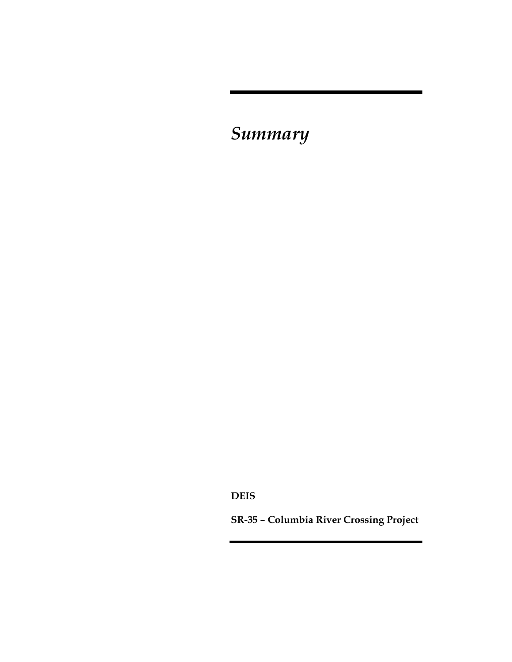*Summary* 

**DEIS** 

**SR-35 – Columbia River Crossing Project**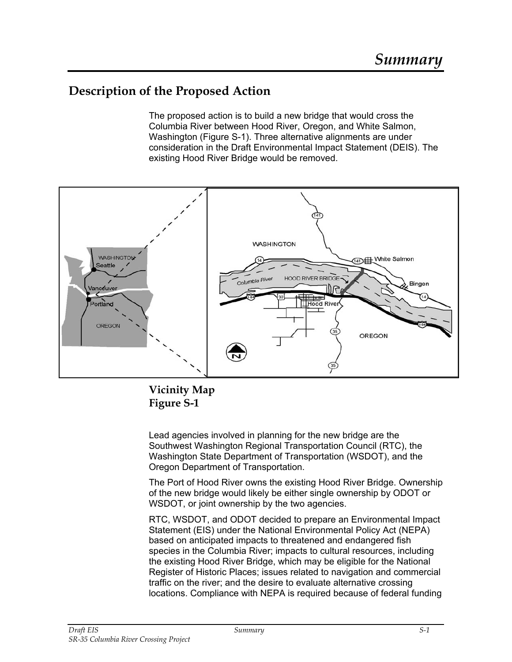# **Description of the Proposed Action**

The proposed action is to build a new bridge that would cross the Columbia River between Hood River, Oregon, and White Salmon, Washington (Figure S-1). Three alternative alignments are under consideration in the Draft Environmental Impact Statement (DEIS). The existing Hood River Bridge would be removed.



**Vicinity Map Figure S-1** 

Lead agencies involved in planning for the new bridge are the Southwest Washington Regional Transportation Council (RTC), the Washington State Department of Transportation (WSDOT), and the Oregon Department of Transportation.

The Port of Hood River owns the existing Hood River Bridge. Ownership of the new bridge would likely be either single ownership by ODOT or WSDOT, or joint ownership by the two agencies.

RTC, WSDOT, and ODOT decided to prepare an Environmental Impact Statement (EIS) under the National Environmental Policy Act (NEPA) based on anticipated impacts to threatened and endangered fish species in the Columbia River; impacts to cultural resources, including the existing Hood River Bridge, which may be eligible for the National Register of Historic Places; issues related to navigation and commercial traffic on the river; and the desire to evaluate alternative crossing locations. Compliance with NEPA is required because of federal funding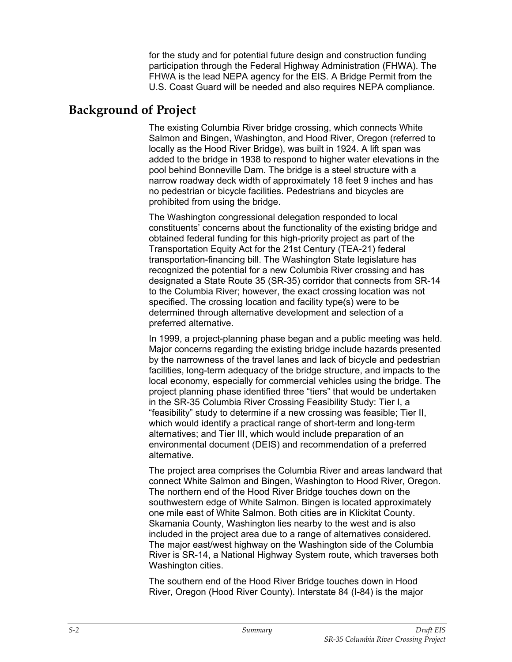for the study and for potential future design and construction funding participation through the Federal Highway Administration (FHWA). The FHWA is the lead NEPA agency for the EIS. A Bridge Permit from the U.S. Coast Guard will be needed and also requires NEPA compliance.

# **Background of Project**

The existing Columbia River bridge crossing, which connects White Salmon and Bingen, Washington, and Hood River, Oregon (referred to locally as the Hood River Bridge), was built in 1924. A lift span was added to the bridge in 1938 to respond to higher water elevations in the pool behind Bonneville Dam. The bridge is a steel structure with a narrow roadway deck width of approximately 18 feet 9 inches and has no pedestrian or bicycle facilities. Pedestrians and bicycles are prohibited from using the bridge.

The Washington congressional delegation responded to local constituents' concerns about the functionality of the existing bridge and obtained federal funding for this high-priority project as part of the Transportation Equity Act for the 21st Century (TEA-21) federal transportation-financing bill. The Washington State legislature has recognized the potential for a new Columbia River crossing and has designated a State Route 35 (SR-35) corridor that connects from SR-14 to the Columbia River; however, the exact crossing location was not specified. The crossing location and facility type(s) were to be determined through alternative development and selection of a preferred alternative.

In 1999, a project-planning phase began and a public meeting was held. Major concerns regarding the existing bridge include hazards presented by the narrowness of the travel lanes and lack of bicycle and pedestrian facilities, long-term adequacy of the bridge structure, and impacts to the local economy, especially for commercial vehicles using the bridge. The project planning phase identified three "tiers" that would be undertaken in the SR-35 Columbia River Crossing Feasibility Study: Tier I, a "feasibility" study to determine if a new crossing was feasible; Tier II, which would identify a practical range of short-term and long-term alternatives; and Tier III, which would include preparation of an environmental document (DEIS) and recommendation of a preferred alternative.

The project area comprises the Columbia River and areas landward that connect White Salmon and Bingen, Washington to Hood River, Oregon. The northern end of the Hood River Bridge touches down on the southwestern edge of White Salmon. Bingen is located approximately one mile east of White Salmon. Both cities are in Klickitat County. Skamania County, Washington lies nearby to the west and is also included in the project area due to a range of alternatives considered. The major east/west highway on the Washington side of the Columbia River is SR-14, a National Highway System route, which traverses both Washington cities.

The southern end of the Hood River Bridge touches down in Hood River, Oregon (Hood River County). Interstate 84 (I-84) is the major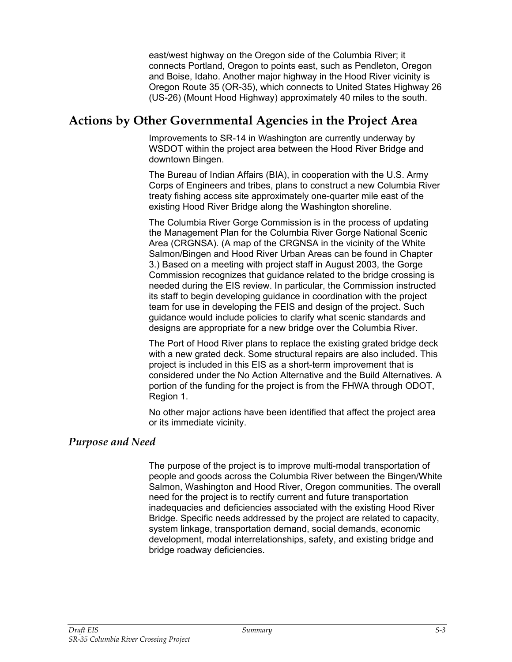east/west highway on the Oregon side of the Columbia River; it connects Portland, Oregon to points east, such as Pendleton, Oregon and Boise, Idaho. Another major highway in the Hood River vicinity is Oregon Route 35 (OR-35), which connects to United States Highway 26 (US-26) (Mount Hood Highway) approximately 40 miles to the south.

# **Actions by Other Governmental Agencies in the Project Area**

Improvements to SR-14 in Washington are currently underway by WSDOT within the project area between the Hood River Bridge and downtown Bingen.

The Bureau of Indian Affairs (BIA), in cooperation with the U.S. Army Corps of Engineers and tribes, plans to construct a new Columbia River treaty fishing access site approximately one-quarter mile east of the existing Hood River Bridge along the Washington shoreline.

The Columbia River Gorge Commission is in the process of updating the Management Plan for the Columbia River Gorge National Scenic Area (CRGNSA). (A map of the CRGNSA in the vicinity of the White Salmon/Bingen and Hood River Urban Areas can be found in Chapter 3.) Based on a meeting with project staff in August 2003, the Gorge Commission recognizes that guidance related to the bridge crossing is needed during the EIS review. In particular, the Commission instructed its staff to begin developing guidance in coordination with the project team for use in developing the FEIS and design of the project. Such guidance would include policies to clarify what scenic standards and designs are appropriate for a new bridge over the Columbia River.

The Port of Hood River plans to replace the existing grated bridge deck with a new grated deck. Some structural repairs are also included. This project is included in this EIS as a short-term improvement that is considered under the No Action Alternative and the Build Alternatives. A portion of the funding for the project is from the FHWA through ODOT, Region 1.

No other major actions have been identified that affect the project area or its immediate vicinity.

## *Purpose and Need*

The purpose of the project is to improve multi-modal transportation of people and goods across the Columbia River between the Bingen/White Salmon, Washington and Hood River, Oregon communities. The overall need for the project is to rectify current and future transportation inadequacies and deficiencies associated with the existing Hood River Bridge. Specific needs addressed by the project are related to capacity, system linkage, transportation demand, social demands, economic development, modal interrelationships, safety, and existing bridge and bridge roadway deficiencies.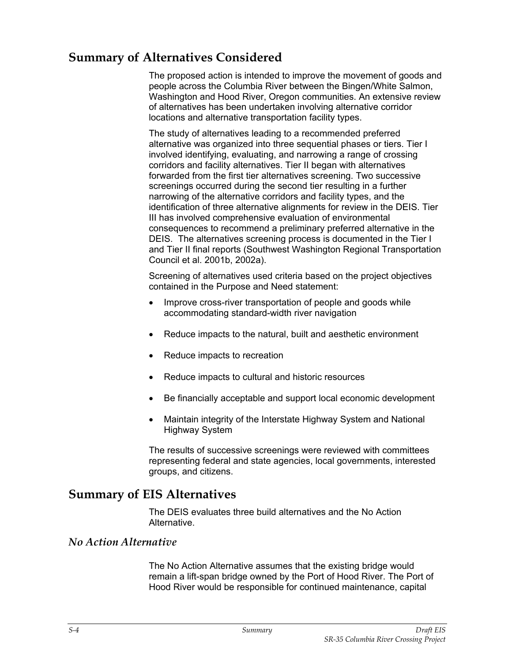# **Summary of Alternatives Considered**

The proposed action is intended to improve the movement of goods and people across the Columbia River between the Bingen/White Salmon, Washington and Hood River, Oregon communities. An extensive review of alternatives has been undertaken involving alternative corridor locations and alternative transportation facility types.

The study of alternatives leading to a recommended preferred alternative was organized into three sequential phases or tiers. Tier I involved identifying, evaluating, and narrowing a range of crossing corridors and facility alternatives. Tier II began with alternatives forwarded from the first tier alternatives screening. Two successive screenings occurred during the second tier resulting in a further narrowing of the alternative corridors and facility types, and the identification of three alternative alignments for review in the DEIS. Tier III has involved comprehensive evaluation of environmental consequences to recommend a preliminary preferred alternative in the DEIS. The alternatives screening process is documented in the Tier I and Tier II final reports (Southwest Washington Regional Transportation Council et al. 2001b, 2002a).

Screening of alternatives used criteria based on the project objectives contained in the Purpose and Need statement:

- Improve cross-river transportation of people and goods while accommodating standard-width river navigation
- Reduce impacts to the natural, built and aesthetic environment
- Reduce impacts to recreation
- Reduce impacts to cultural and historic resources
- Be financially acceptable and support local economic development
- Maintain integrity of the Interstate Highway System and National Highway System

The results of successive screenings were reviewed with committees representing federal and state agencies, local governments, interested groups, and citizens.

## **Summary of EIS Alternatives**

The DEIS evaluates three build alternatives and the No Action Alternative.

## *No Action Alternative*

The No Action Alternative assumes that the existing bridge would remain a lift-span bridge owned by the Port of Hood River. The Port of Hood River would be responsible for continued maintenance, capital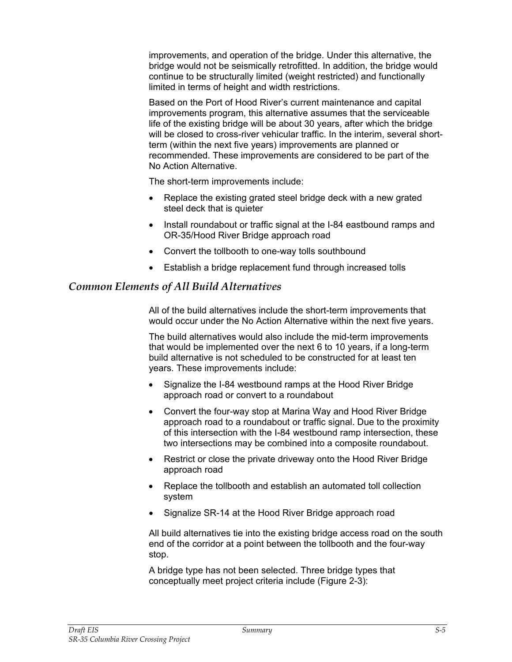improvements, and operation of the bridge. Under this alternative, the bridge would not be seismically retrofitted. In addition, the bridge would continue to be structurally limited (weight restricted) and functionally limited in terms of height and width restrictions.

Based on the Port of Hood River's current maintenance and capital improvements program, this alternative assumes that the serviceable life of the existing bridge will be about 30 years, after which the bridge will be closed to cross-river vehicular traffic. In the interim, several shortterm (within the next five years) improvements are planned or recommended. These improvements are considered to be part of the No Action Alternative.

The short-term improvements include:

- Replace the existing grated steel bridge deck with a new grated steel deck that is quieter
- Install roundabout or traffic signal at the I-84 eastbound ramps and OR-35/Hood River Bridge approach road
- Convert the tollbooth to one-way tolls southbound
- Establish a bridge replacement fund through increased tolls

## *Common Elements of All Build Alternatives*

All of the build alternatives include the short-term improvements that would occur under the No Action Alternative within the next five years.

The build alternatives would also include the mid-term improvements that would be implemented over the next 6 to 10 years, if a long-term build alternative is not scheduled to be constructed for at least ten years. These improvements include:

- Signalize the I-84 westbound ramps at the Hood River Bridge approach road or convert to a roundabout
- Convert the four-way stop at Marina Way and Hood River Bridge approach road to a roundabout or traffic signal. Due to the proximity of this intersection with the I-84 westbound ramp intersection, these two intersections may be combined into a composite roundabout.
- Restrict or close the private driveway onto the Hood River Bridge approach road
- Replace the tollbooth and establish an automated toll collection system
- Signalize SR-14 at the Hood River Bridge approach road

All build alternatives tie into the existing bridge access road on the south end of the corridor at a point between the tollbooth and the four-way stop.

A bridge type has not been selected. Three bridge types that conceptually meet project criteria include (Figure 2-3):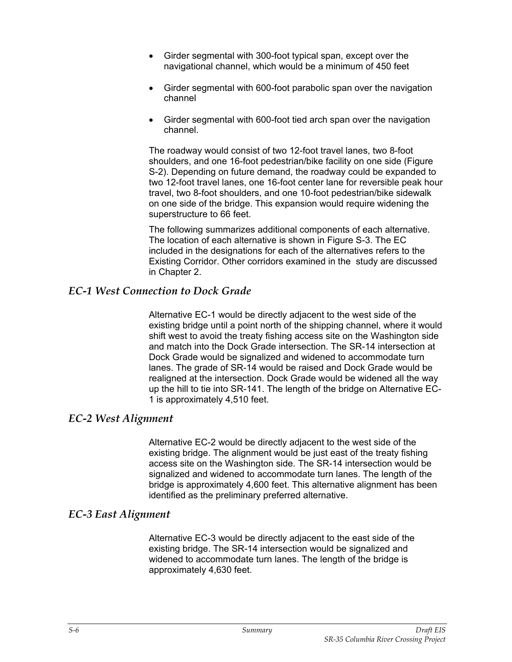- Girder segmental with 300-foot typical span, except over the navigational channel, which would be a minimum of 450 feet
- Girder segmental with 600-foot parabolic span over the navigation channel
- Girder segmental with 600-foot tied arch span over the navigation channel.

The roadway would consist of two 12-foot travel lanes, two 8-foot shoulders, and one 16-foot pedestrian/bike facility on one side (Figure S-2). Depending on future demand, the roadway could be expanded to two 12-foot travel lanes, one 16-foot center lane for reversible peak hour travel, two 8-foot shoulders, and one 10-foot pedestrian/bike sidewalk on one side of the bridge. This expansion would require widening the superstructure to 66 feet.

The following summarizes additional components of each alternative. The location of each alternative is shown in Figure S-3. The EC included in the designations for each of the alternatives refers to the Existing Corridor. Other corridors examined in the study are discussed in Chapter 2.

## *EC-1 West Connection to Dock Grade*

Alternative EC-1 would be directly adjacent to the west side of the existing bridge until a point north of the shipping channel, where it would shift west to avoid the treaty fishing access site on the Washington side and match into the Dock Grade intersection. The SR-14 intersection at Dock Grade would be signalized and widened to accommodate turn lanes. The grade of SR-14 would be raised and Dock Grade would be realigned at the intersection. Dock Grade would be widened all the way up the hill to tie into SR-141. The length of the bridge on Alternative EC-1 is approximately 4,510 feet.

## *EC-2 West Alignment*

Alternative EC-2 would be directly adjacent to the west side of the existing bridge. The alignment would be just east of the treaty fishing access site on the Washington side. The SR-14 intersection would be signalized and widened to accommodate turn lanes. The length of the bridge is approximately 4,600 feet. This alternative alignment has been identified as the preliminary preferred alternative.

## *EC-3 East Alignment*

Alternative EC-3 would be directly adjacent to the east side of the existing bridge. The SR-14 intersection would be signalized and widened to accommodate turn lanes. The length of the bridge is approximately 4,630 feet.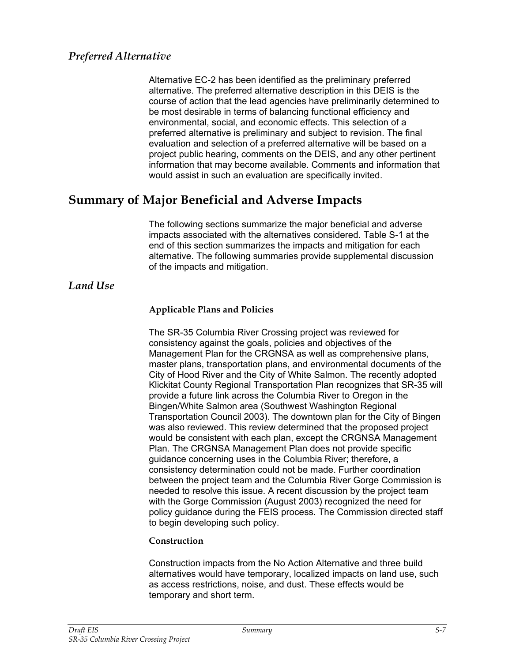## *Preferred Alternative*

Alternative EC-2 has been identified as the preliminary preferred alternative. The preferred alternative description in this DEIS is the course of action that the lead agencies have preliminarily determined to be most desirable in terms of balancing functional efficiency and environmental, social, and economic effects. This selection of a preferred alternative is preliminary and subject to revision. The final evaluation and selection of a preferred alternative will be based on a project public hearing, comments on the DEIS, and any other pertinent information that may become available. Comments and information that would assist in such an evaluation are specifically invited.

# **Summary of Major Beneficial and Adverse Impacts**

The following sections summarize the major beneficial and adverse impacts associated with the alternatives considered. Table S-1 at the end of this section summarizes the impacts and mitigation for each alternative. The following summaries provide supplemental discussion of the impacts and mitigation.

## *Land Use*

## **Applicable Plans and Policies**

The SR-35 Columbia River Crossing project was reviewed for consistency against the goals, policies and objectives of the Management Plan for the CRGNSA as well as comprehensive plans, master plans, transportation plans, and environmental documents of the City of Hood River and the City of White Salmon. The recently adopted Klickitat County Regional Transportation Plan recognizes that SR-35 will provide a future link across the Columbia River to Oregon in the Bingen/White Salmon area (Southwest Washington Regional Transportation Council 2003). The downtown plan for the City of Bingen was also reviewed. This review determined that the proposed project would be consistent with each plan, except the CRGNSA Management Plan. The CRGNSA Management Plan does not provide specific guidance concerning uses in the Columbia River; therefore, a consistency determination could not be made. Further coordination between the project team and the Columbia River Gorge Commission is needed to resolve this issue. A recent discussion by the project team with the Gorge Commission (August 2003) recognized the need for policy guidance during the FEIS process. The Commission directed staff to begin developing such policy.

#### **Construction**

Construction impacts from the No Action Alternative and three build alternatives would have temporary, localized impacts on land use, such as access restrictions, noise, and dust. These effects would be temporary and short term.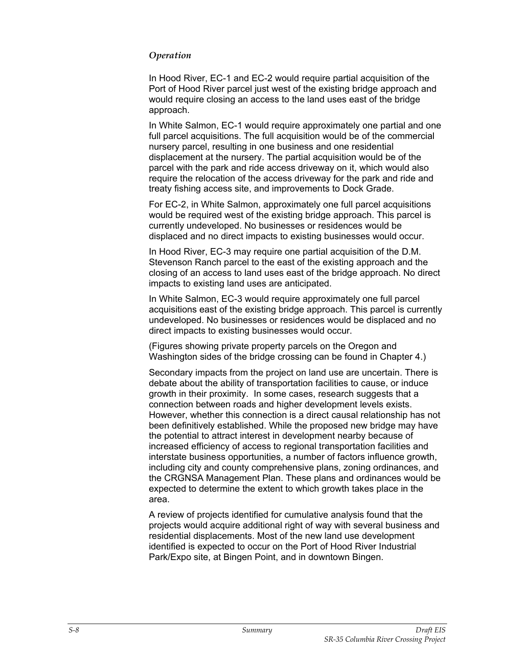#### *Operation*

In Hood River, EC-1 and EC-2 would require partial acquisition of the Port of Hood River parcel just west of the existing bridge approach and would require closing an access to the land uses east of the bridge approach.

In White Salmon, EC-1 would require approximately one partial and one full parcel acquisitions. The full acquisition would be of the commercial nursery parcel, resulting in one business and one residential displacement at the nursery. The partial acquisition would be of the parcel with the park and ride access driveway on it, which would also require the relocation of the access driveway for the park and ride and treaty fishing access site, and improvements to Dock Grade.

For EC-2, in White Salmon, approximately one full parcel acquisitions would be required west of the existing bridge approach. This parcel is currently undeveloped. No businesses or residences would be displaced and no direct impacts to existing businesses would occur.

In Hood River, EC-3 may require one partial acquisition of the D.M. Stevenson Ranch parcel to the east of the existing approach and the closing of an access to land uses east of the bridge approach. No direct impacts to existing land uses are anticipated.

In White Salmon, EC-3 would require approximately one full parcel acquisitions east of the existing bridge approach. This parcel is currently undeveloped. No businesses or residences would be displaced and no direct impacts to existing businesses would occur.

(Figures showing private property parcels on the Oregon and Washington sides of the bridge crossing can be found in Chapter 4.)

Secondary impacts from the project on land use are uncertain. There is debate about the ability of transportation facilities to cause, or induce growth in their proximity. In some cases, research suggests that a connection between roads and higher development levels exists. However, whether this connection is a direct causal relationship has not been definitively established. While the proposed new bridge may have the potential to attract interest in development nearby because of increased efficiency of access to regional transportation facilities and interstate business opportunities, a number of factors influence growth, including city and county comprehensive plans, zoning ordinances, and the CRGNSA Management Plan. These plans and ordinances would be expected to determine the extent to which growth takes place in the area.

A review of projects identified for cumulative analysis found that the projects would acquire additional right of way with several business and residential displacements. Most of the new land use development identified is expected to occur on the Port of Hood River Industrial Park/Expo site, at Bingen Point, and in downtown Bingen.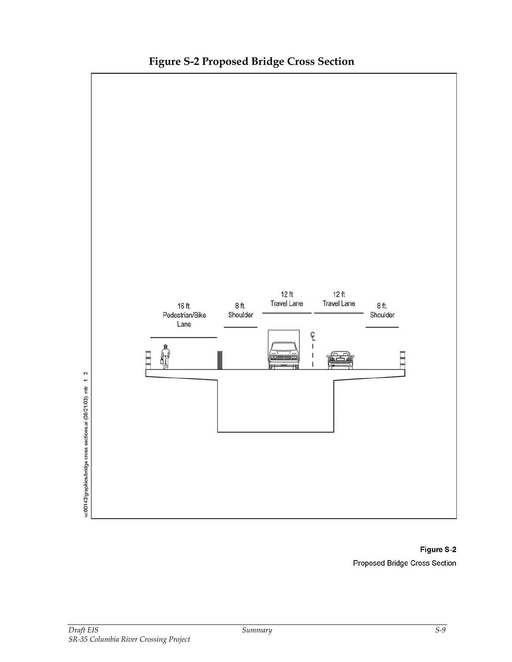

**Figure S-2 Proposed Bridge Cross Section** 

## Figure S-2

Proposed Bridge Cross Section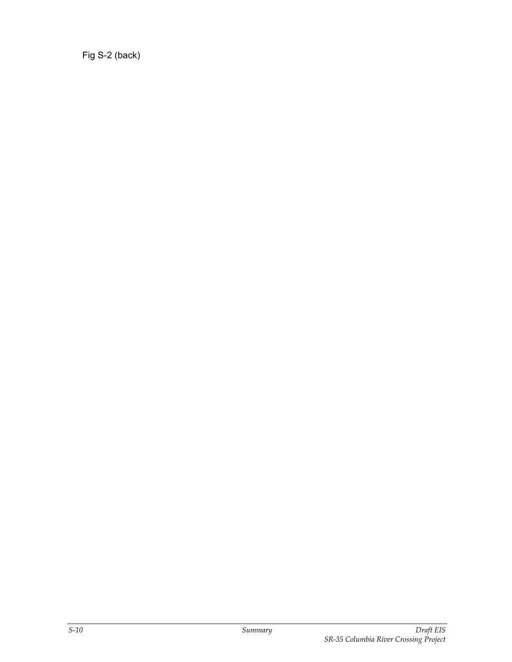Fig S-2 (back)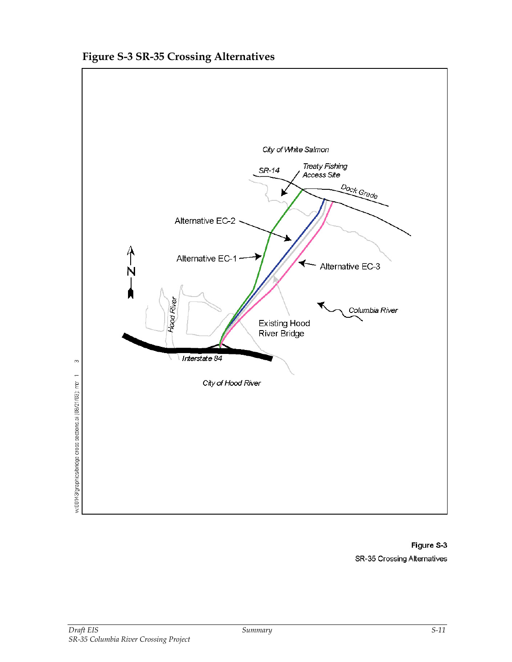



## Figure S-3 SR-35 Crossing Alternatives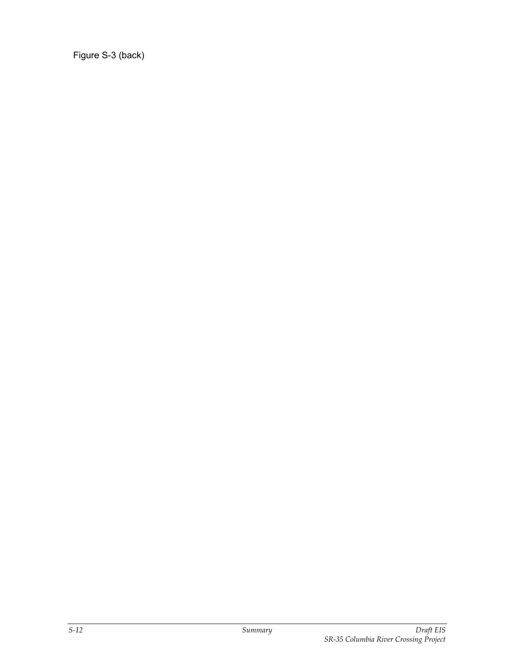Figure S-3 (back)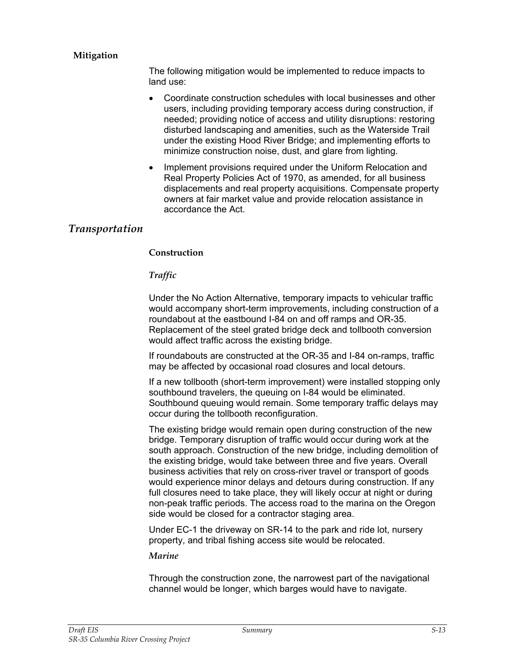#### **Mitigation**

The following mitigation would be implemented to reduce impacts to land use:

- Coordinate construction schedules with local businesses and other users, including providing temporary access during construction, if needed; providing notice of access and utility disruptions: restoring disturbed landscaping and amenities, such as the Waterside Trail under the existing Hood River Bridge; and implementing efforts to minimize construction noise, dust, and glare from lighting.
- Implement provisions required under the Uniform Relocation and Real Property Policies Act of 1970, as amended, for all business displacements and real property acquisitions. Compensate property owners at fair market value and provide relocation assistance in accordance the Act.

## *Transportation*

#### **Construction**

#### *Traffic*

Under the No Action Alternative, temporary impacts to vehicular traffic would accompany short-term improvements, including construction of a roundabout at the eastbound I-84 on and off ramps and OR-35. Replacement of the steel grated bridge deck and tollbooth conversion would affect traffic across the existing bridge.

If roundabouts are constructed at the OR-35 and I-84 on-ramps, traffic may be affected by occasional road closures and local detours.

If a new tollbooth (short-term improvement) were installed stopping only southbound travelers, the queuing on I-84 would be eliminated. Southbound queuing would remain. Some temporary traffic delays may occur during the tollbooth reconfiguration.

The existing bridge would remain open during construction of the new bridge. Temporary disruption of traffic would occur during work at the south approach. Construction of the new bridge, including demolition of the existing bridge, would take between three and five years. Overall business activities that rely on cross-river travel or transport of goods would experience minor delays and detours during construction. If any full closures need to take place, they will likely occur at night or during non-peak traffic periods. The access road to the marina on the Oregon side would be closed for a contractor staging area.

Under EC-1 the driveway on SR-14 to the park and ride lot, nursery property, and tribal fishing access site would be relocated.

#### *Marine*

Through the construction zone, the narrowest part of the navigational channel would be longer, which barges would have to navigate.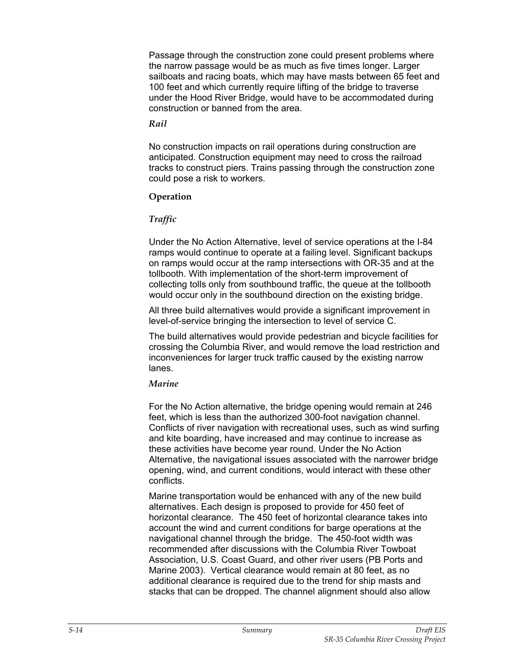Passage through the construction zone could present problems where the narrow passage would be as much as five times longer. Larger sailboats and racing boats, which may have masts between 65 feet and 100 feet and which currently require lifting of the bridge to traverse under the Hood River Bridge, would have to be accommodated during construction or banned from the area.

#### *Rail*

No construction impacts on rail operations during construction are anticipated. Construction equipment may need to cross the railroad tracks to construct piers. Trains passing through the construction zone could pose a risk to workers.

#### **Operation**

#### *Traffic*

Under the No Action Alternative, level of service operations at the I-84 ramps would continue to operate at a failing level. Significant backups on ramps would occur at the ramp intersections with OR-35 and at the tollbooth. With implementation of the short-term improvement of collecting tolls only from southbound traffic, the queue at the tollbooth would occur only in the southbound direction on the existing bridge.

All three build alternatives would provide a significant improvement in level-of-service bringing the intersection to level of service C.

The build alternatives would provide pedestrian and bicycle facilities for crossing the Columbia River, and would remove the load restriction and inconveniences for larger truck traffic caused by the existing narrow lanes.

#### *Marine*

For the No Action alternative, the bridge opening would remain at 246 feet, which is less than the authorized 300-foot navigation channel. Conflicts of river navigation with recreational uses, such as wind surfing and kite boarding, have increased and may continue to increase as these activities have become year round. Under the No Action Alternative, the navigational issues associated with the narrower bridge opening, wind, and current conditions, would interact with these other conflicts.

Marine transportation would be enhanced with any of the new build alternatives. Each design is proposed to provide for 450 feet of horizontal clearance. The 450 feet of horizontal clearance takes into account the wind and current conditions for barge operations at the navigational channel through the bridge. The 450-foot width was recommended after discussions with the Columbia River Towboat Association, U.S. Coast Guard, and other river users (PB Ports and Marine 2003). Vertical clearance would remain at 80 feet, as no additional clearance is required due to the trend for ship masts and stacks that can be dropped. The channel alignment should also allow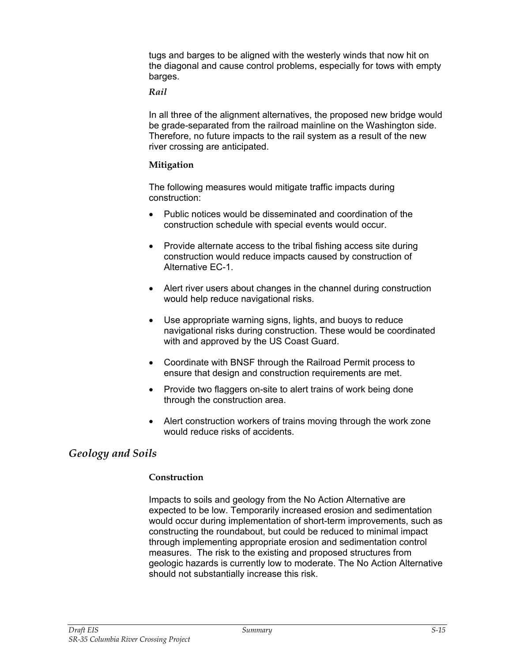tugs and barges to be aligned with the westerly winds that now hit on the diagonal and cause control problems, especially for tows with empty barges.

#### *Rail*

In all three of the alignment alternatives, the proposed new bridge would be grade-separated from the railroad mainline on the Washington side. Therefore, no future impacts to the rail system as a result of the new river crossing are anticipated.

#### **Mitigation**

The following measures would mitigate traffic impacts during construction:

- Public notices would be disseminated and coordination of the construction schedule with special events would occur.
- Provide alternate access to the tribal fishing access site during construction would reduce impacts caused by construction of Alternative EC-1.
- Alert river users about changes in the channel during construction would help reduce navigational risks.
- Use appropriate warning signs, lights, and buoys to reduce navigational risks during construction. These would be coordinated with and approved by the US Coast Guard.
- Coordinate with BNSF through the Railroad Permit process to ensure that design and construction requirements are met.
- Provide two flaggers on-site to alert trains of work being done through the construction area.
- Alert construction workers of trains moving through the work zone would reduce risks of accidents.

## *Geology and Soils*

#### **Construction**

Impacts to soils and geology from the No Action Alternative are expected to be low. Temporarily increased erosion and sedimentation would occur during implementation of short-term improvements, such as constructing the roundabout, but could be reduced to minimal impact through implementing appropriate erosion and sedimentation control measures. The risk to the existing and proposed structures from geologic hazards is currently low to moderate. The No Action Alternative should not substantially increase this risk.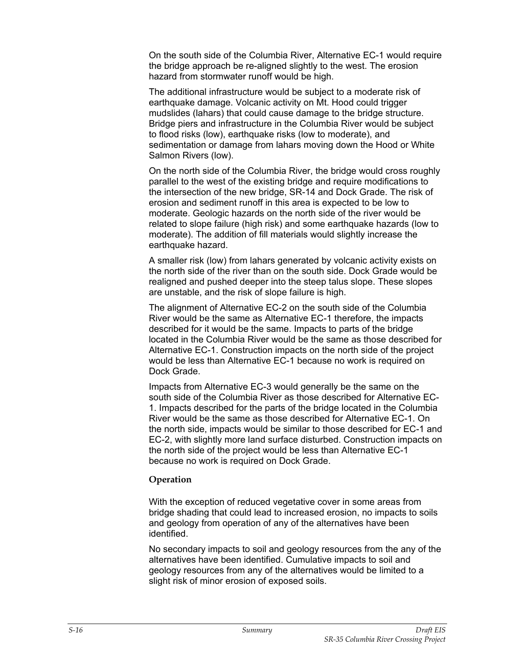On the south side of the Columbia River, Alternative EC-1 would require the bridge approach be re-aligned slightly to the west. The erosion hazard from stormwater runoff would be high.

The additional infrastructure would be subject to a moderate risk of earthquake damage. Volcanic activity on Mt. Hood could trigger mudslides (lahars) that could cause damage to the bridge structure. Bridge piers and infrastructure in the Columbia River would be subject to flood risks (low), earthquake risks (low to moderate), and sedimentation or damage from lahars moving down the Hood or White Salmon Rivers (low).

On the north side of the Columbia River, the bridge would cross roughly parallel to the west of the existing bridge and require modifications to the intersection of the new bridge, SR-14 and Dock Grade. The risk of erosion and sediment runoff in this area is expected to be low to moderate. Geologic hazards on the north side of the river would be related to slope failure (high risk) and some earthquake hazards (low to moderate). The addition of fill materials would slightly increase the earthquake hazard.

A smaller risk (low) from lahars generated by volcanic activity exists on the north side of the river than on the south side. Dock Grade would be realigned and pushed deeper into the steep talus slope. These slopes are unstable, and the risk of slope failure is high.

The alignment of Alternative EC-2 on the south side of the Columbia River would be the same as Alternative EC-1 therefore, the impacts described for it would be the same. Impacts to parts of the bridge located in the Columbia River would be the same as those described for Alternative EC-1. Construction impacts on the north side of the project would be less than Alternative EC-1 because no work is required on Dock Grade.

Impacts from Alternative EC-3 would generally be the same on the south side of the Columbia River as those described for Alternative EC-1. Impacts described for the parts of the bridge located in the Columbia River would be the same as those described for Alternative EC-1. On the north side, impacts would be similar to those described for EC-1 and EC-2, with slightly more land surface disturbed. Construction impacts on the north side of the project would be less than Alternative EC-1 because no work is required on Dock Grade.

#### **Operation**

With the exception of reduced vegetative cover in some areas from bridge shading that could lead to increased erosion, no impacts to soils and geology from operation of any of the alternatives have been identified.

No secondary impacts to soil and geology resources from the any of the alternatives have been identified. Cumulative impacts to soil and geology resources from any of the alternatives would be limited to a slight risk of minor erosion of exposed soils.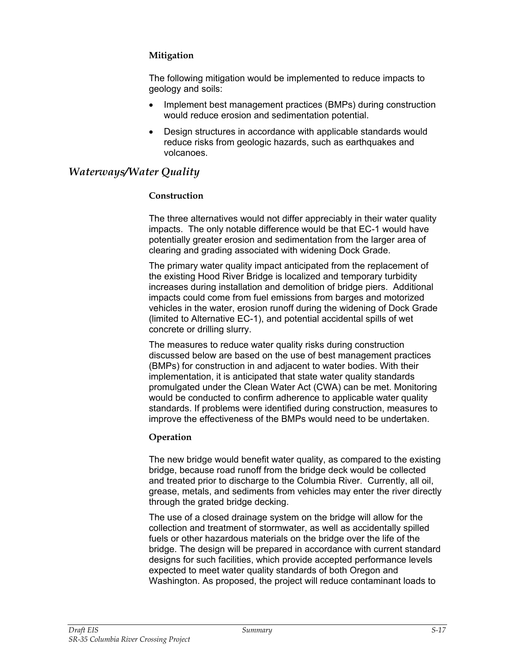## **Mitigation**

The following mitigation would be implemented to reduce impacts to geology and soils:

- Implement best management practices (BMPs) during construction would reduce erosion and sedimentation potential.
- Design structures in accordance with applicable standards would reduce risks from geologic hazards, such as earthquakes and volcanoes.

## *Waterways/Water Quality*

## **Construction**

The three alternatives would not differ appreciably in their water quality impacts. The only notable difference would be that EC-1 would have potentially greater erosion and sedimentation from the larger area of clearing and grading associated with widening Dock Grade.

The primary water quality impact anticipated from the replacement of the existing Hood River Bridge is localized and temporary turbidity increases during installation and demolition of bridge piers. Additional impacts could come from fuel emissions from barges and motorized vehicles in the water, erosion runoff during the widening of Dock Grade (limited to Alternative EC-1), and potential accidental spills of wet concrete or drilling slurry.

The measures to reduce water quality risks during construction discussed below are based on the use of best management practices (BMPs) for construction in and adjacent to water bodies. With their implementation, it is anticipated that state water quality standards promulgated under the Clean Water Act (CWA) can be met. Monitoring would be conducted to confirm adherence to applicable water quality standards. If problems were identified during construction, measures to improve the effectiveness of the BMPs would need to be undertaken.

## **Operation**

The new bridge would benefit water quality, as compared to the existing bridge, because road runoff from the bridge deck would be collected and treated prior to discharge to the Columbia River. Currently, all oil, grease, metals, and sediments from vehicles may enter the river directly through the grated bridge decking.

The use of a closed drainage system on the bridge will allow for the collection and treatment of stormwater, as well as accidentally spilled fuels or other hazardous materials on the bridge over the life of the bridge. The design will be prepared in accordance with current standard designs for such facilities, which provide accepted performance levels expected to meet water quality standards of both Oregon and Washington. As proposed, the project will reduce contaminant loads to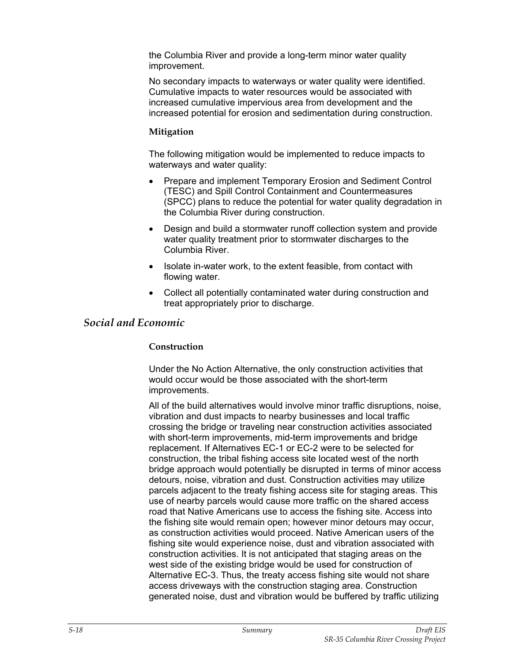the Columbia River and provide a long-term minor water quality improvement.

No secondary impacts to waterways or water quality were identified. Cumulative impacts to water resources would be associated with increased cumulative impervious area from development and the increased potential for erosion and sedimentation during construction.

#### **Mitigation**

The following mitigation would be implemented to reduce impacts to waterways and water quality:

- Prepare and implement Temporary Erosion and Sediment Control (TESC) and Spill Control Containment and Countermeasures (SPCC) plans to reduce the potential for water quality degradation in the Columbia River during construction.
- Design and build a stormwater runoff collection system and provide water quality treatment prior to stormwater discharges to the Columbia River.
- Isolate in-water work, to the extent feasible, from contact with flowing water.
- Collect all potentially contaminated water during construction and treat appropriately prior to discharge.

## *Social and Economic*

#### **Construction**

Under the No Action Alternative, the only construction activities that would occur would be those associated with the short-term improvements.

All of the build alternatives would involve minor traffic disruptions, noise, vibration and dust impacts to nearby businesses and local traffic crossing the bridge or traveling near construction activities associated with short-term improvements, mid-term improvements and bridge replacement. If Alternatives EC-1 or EC-2 were to be selected for construction, the tribal fishing access site located west of the north bridge approach would potentially be disrupted in terms of minor access detours, noise, vibration and dust. Construction activities may utilize parcels adjacent to the treaty fishing access site for staging areas. This use of nearby parcels would cause more traffic on the shared access road that Native Americans use to access the fishing site. Access into the fishing site would remain open; however minor detours may occur, as construction activities would proceed. Native American users of the fishing site would experience noise, dust and vibration associated with construction activities. It is not anticipated that staging areas on the west side of the existing bridge would be used for construction of Alternative EC-3. Thus, the treaty access fishing site would not share access driveways with the construction staging area. Construction generated noise, dust and vibration would be buffered by traffic utilizing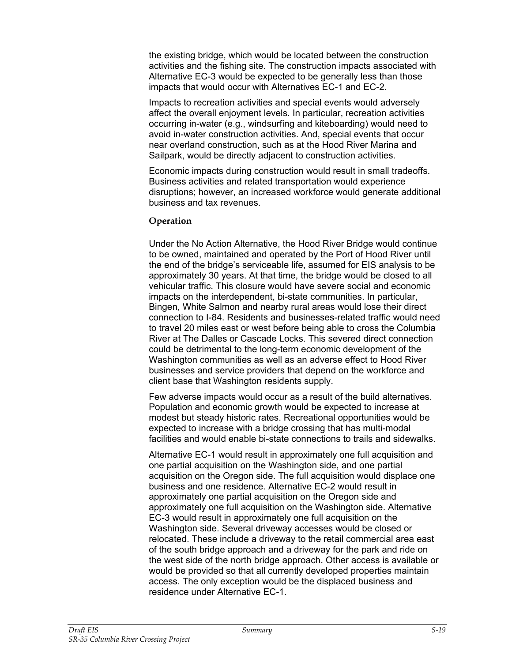the existing bridge, which would be located between the construction activities and the fishing site. The construction impacts associated with Alternative EC-3 would be expected to be generally less than those impacts that would occur with Alternatives EC-1 and EC-2.

Impacts to recreation activities and special events would adversely affect the overall enjoyment levels. In particular, recreation activities occurring in-water (e.g., windsurfing and kiteboarding) would need to avoid in-water construction activities. And, special events that occur near overland construction, such as at the Hood River Marina and Sailpark, would be directly adjacent to construction activities.

Economic impacts during construction would result in small tradeoffs. Business activities and related transportation would experience disruptions; however, an increased workforce would generate additional business and tax revenues.

#### **Operation**

Under the No Action Alternative, the Hood River Bridge would continue to be owned, maintained and operated by the Port of Hood River until the end of the bridge's serviceable life, assumed for EIS analysis to be approximately 30 years. At that time, the bridge would be closed to all vehicular traffic. This closure would have severe social and economic impacts on the interdependent, bi-state communities. In particular, Bingen, White Salmon and nearby rural areas would lose their direct connection to I-84. Residents and businesses-related traffic would need to travel 20 miles east or west before being able to cross the Columbia River at The Dalles or Cascade Locks. This severed direct connection could be detrimental to the long-term economic development of the Washington communities as well as an adverse effect to Hood River businesses and service providers that depend on the workforce and client base that Washington residents supply.

Few adverse impacts would occur as a result of the build alternatives. Population and economic growth would be expected to increase at modest but steady historic rates. Recreational opportunities would be expected to increase with a bridge crossing that has multi-modal facilities and would enable bi-state connections to trails and sidewalks.

Alternative EC-1 would result in approximately one full acquisition and one partial acquisition on the Washington side, and one partial acquisition on the Oregon side. The full acquisition would displace one business and one residence. Alternative EC-2 would result in approximately one partial acquisition on the Oregon side and approximately one full acquisition on the Washington side. Alternative EC-3 would result in approximately one full acquisition on the Washington side. Several driveway accesses would be closed or relocated. These include a driveway to the retail commercial area east of the south bridge approach and a driveway for the park and ride on the west side of the north bridge approach. Other access is available or would be provided so that all currently developed properties maintain access. The only exception would be the displaced business and residence under Alternative EC-1.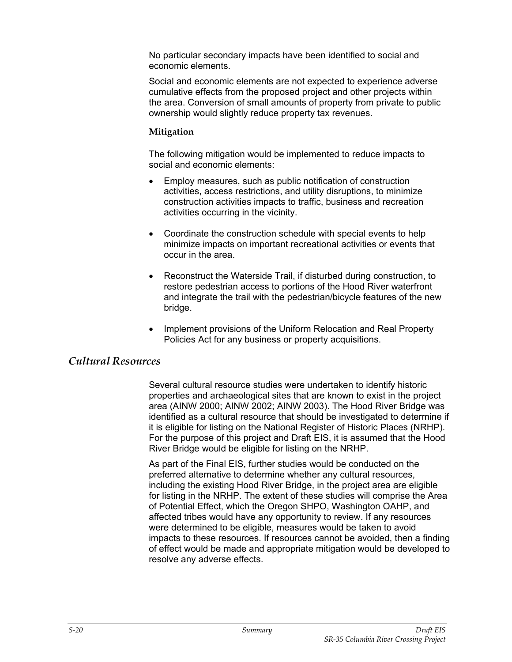No particular secondary impacts have been identified to social and economic elements.

Social and economic elements are not expected to experience adverse cumulative effects from the proposed project and other projects within the area. Conversion of small amounts of property from private to public ownership would slightly reduce property tax revenues.

#### **Mitigation**

The following mitigation would be implemented to reduce impacts to social and economic elements:

- Employ measures, such as public notification of construction activities, access restrictions, and utility disruptions, to minimize construction activities impacts to traffic, business and recreation activities occurring in the vicinity.
- Coordinate the construction schedule with special events to help minimize impacts on important recreational activities or events that occur in the area.
- Reconstruct the Waterside Trail, if disturbed during construction, to restore pedestrian access to portions of the Hood River waterfront and integrate the trail with the pedestrian/bicycle features of the new bridge.
- Implement provisions of the Uniform Relocation and Real Property Policies Act for any business or property acquisitions.

## *Cultural Resources*

Several cultural resource studies were undertaken to identify historic properties and archaeological sites that are known to exist in the project area (AINW 2000; AINW 2002; AINW 2003). The Hood River Bridge was identified as a cultural resource that should be investigated to determine if it is eligible for listing on the National Register of Historic Places (NRHP). For the purpose of this project and Draft EIS, it is assumed that the Hood River Bridge would be eligible for listing on the NRHP.

As part of the Final EIS, further studies would be conducted on the preferred alternative to determine whether any cultural resources, including the existing Hood River Bridge, in the project area are eligible for listing in the NRHP. The extent of these studies will comprise the Area of Potential Effect, which the Oregon SHPO, Washington OAHP, and affected tribes would have any opportunity to review. If any resources were determined to be eligible, measures would be taken to avoid impacts to these resources. If resources cannot be avoided, then a finding of effect would be made and appropriate mitigation would be developed to resolve any adverse effects.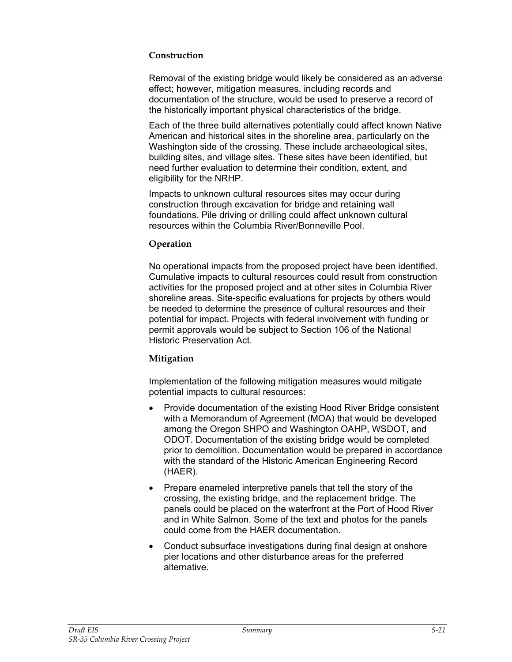### **Construction**

Removal of the existing bridge would likely be considered as an adverse effect; however, mitigation measures, including records and documentation of the structure, would be used to preserve a record of the historically important physical characteristics of the bridge.

Each of the three build alternatives potentially could affect known Native American and historical sites in the shoreline area, particularly on the Washington side of the crossing. These include archaeological sites, building sites, and village sites. These sites have been identified, but need further evaluation to determine their condition, extent, and eligibility for the NRHP.

Impacts to unknown cultural resources sites may occur during construction through excavation for bridge and retaining wall foundations. Pile driving or drilling could affect unknown cultural resources within the Columbia River/Bonneville Pool.

#### **Operation**

No operational impacts from the proposed project have been identified. Cumulative impacts to cultural resources could result from construction activities for the proposed project and at other sites in Columbia River shoreline areas. Site-specific evaluations for projects by others would be needed to determine the presence of cultural resources and their potential for impact. Projects with federal involvement with funding or permit approvals would be subject to Section 106 of the National Historic Preservation Act.

## **Mitigation**

Implementation of the following mitigation measures would mitigate potential impacts to cultural resources:

- Provide documentation of the existing Hood River Bridge consistent with a Memorandum of Agreement (MOA) that would be developed among the Oregon SHPO and Washington OAHP, WSDOT, and ODOT. Documentation of the existing bridge would be completed prior to demolition. Documentation would be prepared in accordance with the standard of the Historic American Engineering Record (HAER).
- Prepare enameled interpretive panels that tell the story of the crossing, the existing bridge, and the replacement bridge. The panels could be placed on the waterfront at the Port of Hood River and in White Salmon. Some of the text and photos for the panels could come from the HAER documentation.
- Conduct subsurface investigations during final design at onshore pier locations and other disturbance areas for the preferred alternative.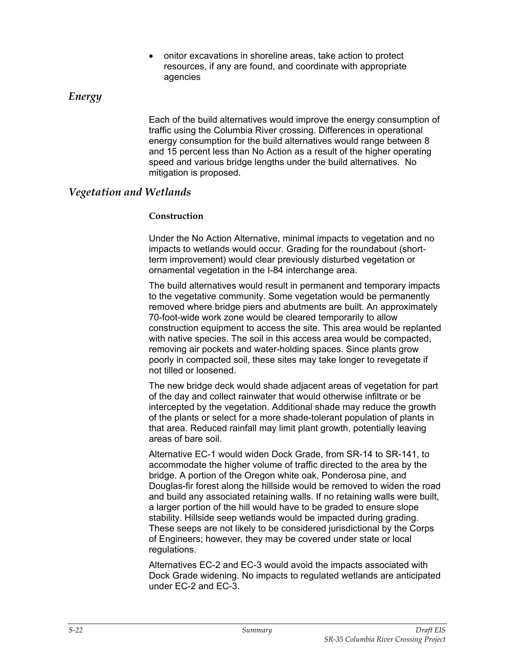• onitor excavations in shoreline areas, take action to protect resources, if any are found, and coordinate with appropriate agencies

## *Energy*

Each of the build alternatives would improve the energy consumption of traffic using the Columbia River crossing. Differences in operational energy consumption for the build alternatives would range between 8 and 15 percent less than No Action as a result of the higher operating speed and various bridge lengths under the build alternatives. No mitigation is proposed.

## *Vegetation and Wetlands*

#### **Construction**

Under the No Action Alternative, minimal impacts to vegetation and no impacts to wetlands would occur. Grading for the roundabout (shortterm improvement) would clear previously disturbed vegetation or ornamental vegetation in the I-84 interchange area.

The build alternatives would result in permanent and temporary impacts to the vegetative community. Some vegetation would be permanently removed where bridge piers and abutments are built. An approximately 70-foot-wide work zone would be cleared temporarily to allow construction equipment to access the site. This area would be replanted with native species. The soil in this access area would be compacted, removing air pockets and water-holding spaces. Since plants grow poorly in compacted soil, these sites may take longer to revegetate if not tilled or loosened.

The new bridge deck would shade adjacent areas of vegetation for part of the day and collect rainwater that would otherwise infiltrate or be intercepted by the vegetation. Additional shade may reduce the growth of the plants or select for a more shade-tolerant population of plants in that area. Reduced rainfall may limit plant growth, potentially leaving areas of bare soil.

Alternative EC-1 would widen Dock Grade, from SR-14 to SR-141, to accommodate the higher volume of traffic directed to the area by the bridge. A portion of the Oregon white oak, Ponderosa pine, and Douglas-fir forest along the hillside would be removed to widen the road and build any associated retaining walls. If no retaining walls were built, a larger portion of the hill would have to be graded to ensure slope stability. Hillside seep wetlands would be impacted during grading. These seeps are not likely to be considered jurisdictional by the Corps of Engineers; however, they may be covered under state or local regulations.

Alternatives EC-2 and EC-3 would avoid the impacts associated with Dock Grade widening. No impacts to regulated wetlands are anticipated under EC-2 and EC-3.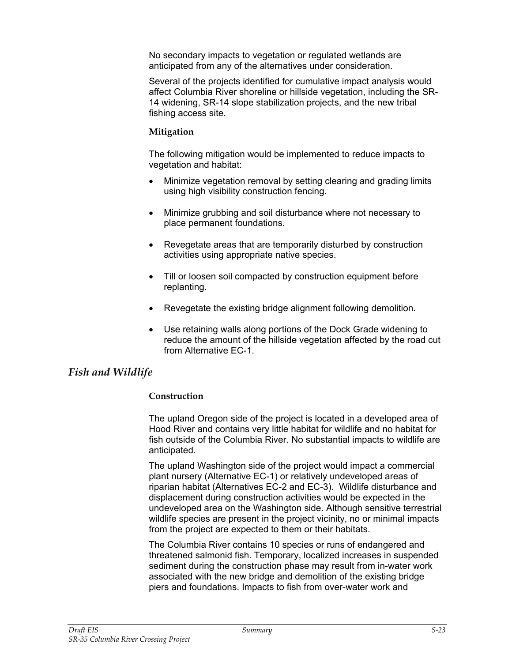No secondary impacts to vegetation or regulated wetlands are anticipated from any of the alternatives under consideration.

Several of the projects identified for cumulative impact analysis would affect Columbia River shoreline or hillside vegetation, including the SR-14 widening, SR-14 slope stabilization projects, and the new tribal fishing access site.

#### **Mitigation**

The following mitigation would be implemented to reduce impacts to vegetation and habitat:

- Minimize vegetation removal by setting clearing and grading limits using high visibility construction fencing.
- Minimize grubbing and soil disturbance where not necessary to place permanent foundations.
- Revegetate areas that are temporarily disturbed by construction activities using appropriate native species.
- Till or loosen soil compacted by construction equipment before replanting.
- Revegetate the existing bridge alignment following demolition.
- Use retaining walls along portions of the Dock Grade widening to reduce the amount of the hillside vegetation affected by the road cut from Alternative EC-1.

## *Fish and Wildlife*

#### **Construction**

The upland Oregon side of the project is located in a developed area of Hood River and contains very little habitat for wildlife and no habitat for fish outside of the Columbia River. No substantial impacts to wildlife are anticipated.

The upland Washington side of the project would impact a commercial plant nursery (Alternative EC-1) or relatively undeveloped areas of riparian habitat (Alternatives EC-2 and EC-3). Wildlife disturbance and displacement during construction activities would be expected in the undeveloped area on the Washington side. Although sensitive terrestrial wildlife species are present in the project vicinity, no or minimal impacts from the project are expected to them or their habitats.

The Columbia River contains 10 species or runs of endangered and threatened salmonid fish. Temporary, localized increases in suspended sediment during the construction phase may result from in-water work associated with the new bridge and demolition of the existing bridge piers and foundations. Impacts to fish from over-water work and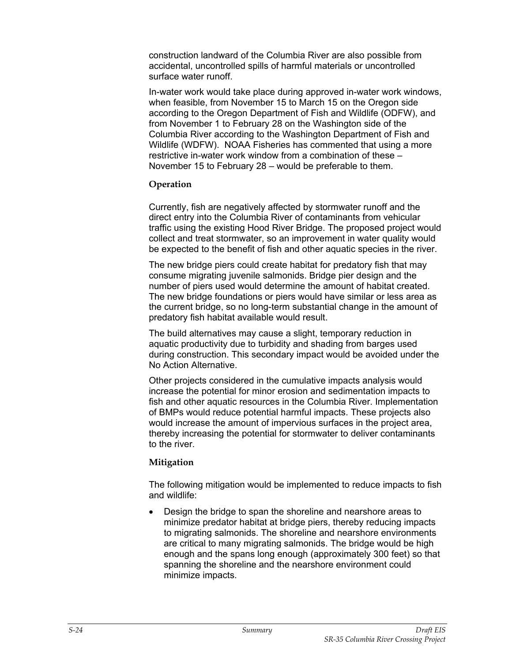construction landward of the Columbia River are also possible from accidental, uncontrolled spills of harmful materials or uncontrolled surface water runoff.

In-water work would take place during approved in-water work windows, when feasible, from November 15 to March 15 on the Oregon side according to the Oregon Department of Fish and Wildlife (ODFW), and from November 1 to February 28 on the Washington side of the Columbia River according to the Washington Department of Fish and Wildlife (WDFW). NOAA Fisheries has commented that using a more restrictive in-water work window from a combination of these – November 15 to February 28 – would be preferable to them.

#### **Operation**

Currently, fish are negatively affected by stormwater runoff and the direct entry into the Columbia River of contaminants from vehicular traffic using the existing Hood River Bridge. The proposed project would collect and treat stormwater, so an improvement in water quality would be expected to the benefit of fish and other aquatic species in the river.

The new bridge piers could create habitat for predatory fish that may consume migrating juvenile salmonids. Bridge pier design and the number of piers used would determine the amount of habitat created. The new bridge foundations or piers would have similar or less area as the current bridge, so no long-term substantial change in the amount of predatory fish habitat available would result.

The build alternatives may cause a slight, temporary reduction in aquatic productivity due to turbidity and shading from barges used during construction. This secondary impact would be avoided under the No Action Alternative.

Other projects considered in the cumulative impacts analysis would increase the potential for minor erosion and sedimentation impacts to fish and other aquatic resources in the Columbia River. Implementation of BMPs would reduce potential harmful impacts. These projects also would increase the amount of impervious surfaces in the project area, thereby increasing the potential for stormwater to deliver contaminants to the river.

## **Mitigation**

The following mitigation would be implemented to reduce impacts to fish and wildlife:

• Design the bridge to span the shoreline and nearshore areas to minimize predator habitat at bridge piers, thereby reducing impacts to migrating salmonids. The shoreline and nearshore environments are critical to many migrating salmonids. The bridge would be high enough and the spans long enough (approximately 300 feet) so that spanning the shoreline and the nearshore environment could minimize impacts.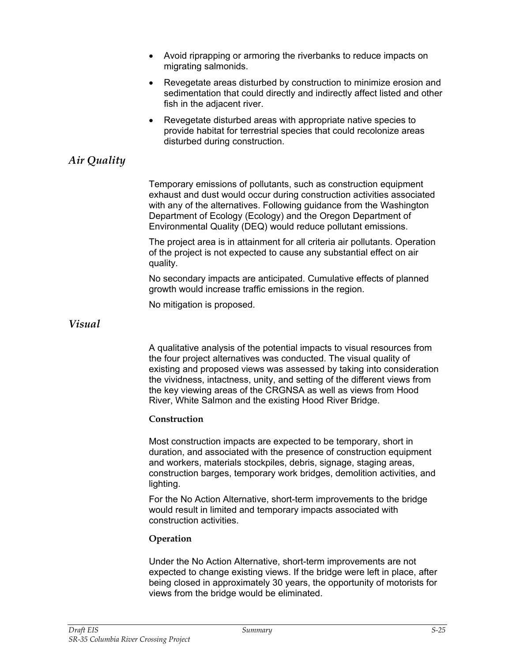- Avoid riprapping or armoring the riverbanks to reduce impacts on migrating salmonids.
- Revegetate areas disturbed by construction to minimize erosion and sedimentation that could directly and indirectly affect listed and other fish in the adjacent river.
- Revegetate disturbed areas with appropriate native species to provide habitat for terrestrial species that could recolonize areas disturbed during construction.

## *Air Quality*

Temporary emissions of pollutants, such as construction equipment exhaust and dust would occur during construction activities associated with any of the alternatives. Following guidance from the Washington Department of Ecology (Ecology) and the Oregon Department of Environmental Quality (DEQ) would reduce pollutant emissions.

The project area is in attainment for all criteria air pollutants. Operation of the project is not expected to cause any substantial effect on air quality.

No secondary impacts are anticipated. Cumulative effects of planned growth would increase traffic emissions in the region.

No mitigation is proposed.

## *Visual*

A qualitative analysis of the potential impacts to visual resources from the four project alternatives was conducted. The visual quality of existing and proposed views was assessed by taking into consideration the vividness, intactness, unity, and setting of the different views from the key viewing areas of the CRGNSA as well as views from Hood River, White Salmon and the existing Hood River Bridge.

#### **Construction**

Most construction impacts are expected to be temporary, short in duration, and associated with the presence of construction equipment and workers, materials stockpiles, debris, signage, staging areas, construction barges, temporary work bridges, demolition activities, and lighting.

For the No Action Alternative, short-term improvements to the bridge would result in limited and temporary impacts associated with construction activities.

#### **Operation**

Under the No Action Alternative, short-term improvements are not expected to change existing views. If the bridge were left in place, after being closed in approximately 30 years, the opportunity of motorists for views from the bridge would be eliminated.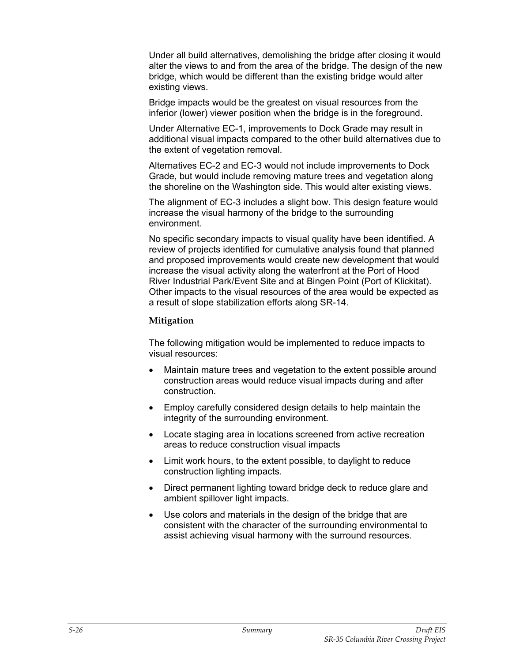Under all build alternatives, demolishing the bridge after closing it would alter the views to and from the area of the bridge. The design of the new bridge, which would be different than the existing bridge would alter existing views.

Bridge impacts would be the greatest on visual resources from the inferior (lower) viewer position when the bridge is in the foreground.

Under Alternative EC-1, improvements to Dock Grade may result in additional visual impacts compared to the other build alternatives due to the extent of vegetation removal.

Alternatives EC-2 and EC-3 would not include improvements to Dock Grade, but would include removing mature trees and vegetation along the shoreline on the Washington side. This would alter existing views.

The alignment of EC-3 includes a slight bow. This design feature would increase the visual harmony of the bridge to the surrounding environment.

No specific secondary impacts to visual quality have been identified. A review of projects identified for cumulative analysis found that planned and proposed improvements would create new development that would increase the visual activity along the waterfront at the Port of Hood River Industrial Park/Event Site and at Bingen Point (Port of Klickitat). Other impacts to the visual resources of the area would be expected as a result of slope stabilization efforts along SR-14.

#### **Mitigation**

The following mitigation would be implemented to reduce impacts to visual resources:

- Maintain mature trees and vegetation to the extent possible around construction areas would reduce visual impacts during and after construction.
- Employ carefully considered design details to help maintain the integrity of the surrounding environment.
- Locate staging area in locations screened from active recreation areas to reduce construction visual impacts
- Limit work hours, to the extent possible, to daylight to reduce construction lighting impacts.
- Direct permanent lighting toward bridge deck to reduce glare and ambient spillover light impacts.
- Use colors and materials in the design of the bridge that are consistent with the character of the surrounding environmental to assist achieving visual harmony with the surround resources.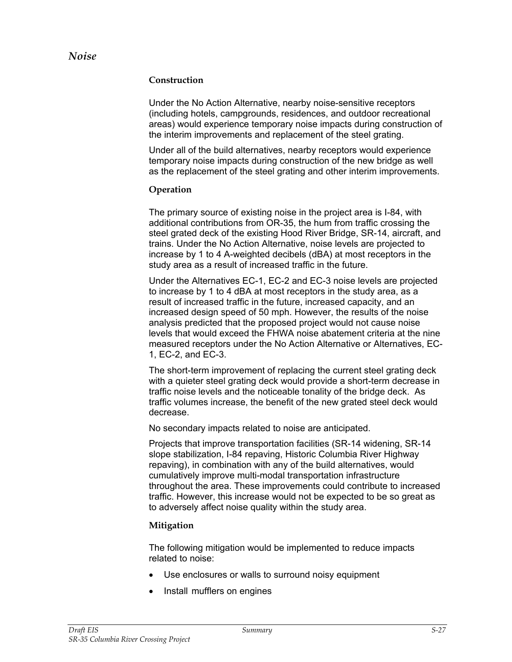## *Noise*

#### **Construction**

Under the No Action Alternative, nearby noise-sensitive receptors (including hotels, campgrounds, residences, and outdoor recreational areas) would experience temporary noise impacts during construction of the interim improvements and replacement of the steel grating.

Under all of the build alternatives, nearby receptors would experience temporary noise impacts during construction of the new bridge as well as the replacement of the steel grating and other interim improvements.

#### **Operation**

The primary source of existing noise in the project area is I-84, with additional contributions from OR-35, the hum from traffic crossing the steel grated deck of the existing Hood River Bridge, SR-14, aircraft, and trains. Under the No Action Alternative, noise levels are projected to increase by 1 to 4 A-weighted decibels (dBA) at most receptors in the study area as a result of increased traffic in the future.

Under the Alternatives EC-1, EC-2 and EC-3 noise levels are projected to increase by 1 to 4 dBA at most receptors in the study area, as a result of increased traffic in the future, increased capacity, and an increased design speed of 50 mph. However, the results of the noise analysis predicted that the proposed project would not cause noise levels that would exceed the FHWA noise abatement criteria at the nine measured receptors under the No Action Alternative or Alternatives, EC-1, EC-2, and EC-3.

The short-term improvement of replacing the current steel grating deck with a quieter steel grating deck would provide a short-term decrease in traffic noise levels and the noticeable tonality of the bridge deck. As traffic volumes increase, the benefit of the new grated steel deck would decrease.

No secondary impacts related to noise are anticipated.

Projects that improve transportation facilities (SR-14 widening, SR-14 slope stabilization, I-84 repaving, Historic Columbia River Highway repaving), in combination with any of the build alternatives, would cumulatively improve multi-modal transportation infrastructure throughout the area. These improvements could contribute to increased traffic. However, this increase would not be expected to be so great as to adversely affect noise quality within the study area.

## **Mitigation**

The following mitigation would be implemented to reduce impacts related to noise:

- Use enclosures or walls to surround noisy equipment
- Install mufflers on engines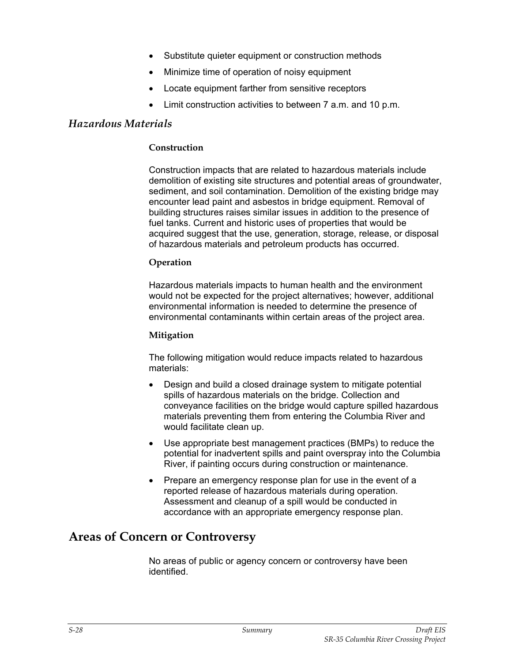- Substitute quieter equipment or construction methods
- Minimize time of operation of noisy equipment
- Locate equipment farther from sensitive receptors
- Limit construction activities to between 7 a.m. and 10 p.m.

### *Hazardous Materials*

#### **Construction**

Construction impacts that are related to hazardous materials include demolition of existing site structures and potential areas of groundwater, sediment, and soil contamination. Demolition of the existing bridge may encounter lead paint and asbestos in bridge equipment. Removal of building structures raises similar issues in addition to the presence of fuel tanks. Current and historic uses of properties that would be acquired suggest that the use, generation, storage, release, or disposal of hazardous materials and petroleum products has occurred.

#### **Operation**

Hazardous materials impacts to human health and the environment would not be expected for the project alternatives; however, additional environmental information is needed to determine the presence of environmental contaminants within certain areas of the project area.

#### **Mitigation**

The following mitigation would reduce impacts related to hazardous materials:

- Design and build a closed drainage system to mitigate potential spills of hazardous materials on the bridge. Collection and conveyance facilities on the bridge would capture spilled hazardous materials preventing them from entering the Columbia River and would facilitate clean up.
- Use appropriate best management practices (BMPs) to reduce the potential for inadvertent spills and paint overspray into the Columbia River, if painting occurs during construction or maintenance.
- Prepare an emergency response plan for use in the event of a reported release of hazardous materials during operation. Assessment and cleanup of a spill would be conducted in accordance with an appropriate emergency response plan.

## **Areas of Concern or Controversy**

No areas of public or agency concern or controversy have been identified.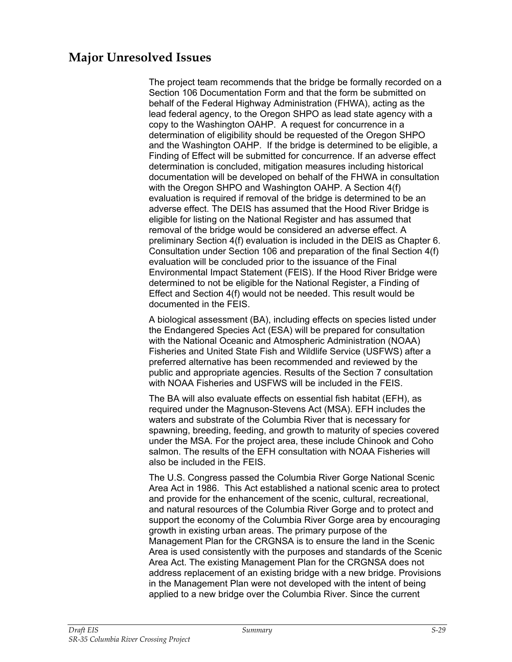# **Major Unresolved Issues**

The project team recommends that the bridge be formally recorded on a Section 106 Documentation Form and that the form be submitted on behalf of the Federal Highway Administration (FHWA), acting as the lead federal agency, to the Oregon SHPO as lead state agency with a copy to the Washington OAHP. A request for concurrence in a determination of eligibility should be requested of the Oregon SHPO and the Washington OAHP. If the bridge is determined to be eligible, a Finding of Effect will be submitted for concurrence. If an adverse effect determination is concluded, mitigation measures including historical documentation will be developed on behalf of the FHWA in consultation with the Oregon SHPO and Washington OAHP. A Section 4(f) evaluation is required if removal of the bridge is determined to be an adverse effect. The DEIS has assumed that the Hood River Bridge is eligible for listing on the National Register and has assumed that removal of the bridge would be considered an adverse effect. A preliminary Section 4(f) evaluation is included in the DEIS as Chapter 6. Consultation under Section 106 and preparation of the final Section 4(f) evaluation will be concluded prior to the issuance of the Final Environmental Impact Statement (FEIS). If the Hood River Bridge were determined to not be eligible for the National Register, a Finding of Effect and Section 4(f) would not be needed. This result would be documented in the FEIS.

A biological assessment (BA), including effects on species listed under the Endangered Species Act (ESA) will be prepared for consultation with the National Oceanic and Atmospheric Administration (NOAA) Fisheries and United State Fish and Wildlife Service (USFWS) after a preferred alternative has been recommended and reviewed by the public and appropriate agencies. Results of the Section 7 consultation with NOAA Fisheries and USFWS will be included in the FEIS.

The BA will also evaluate effects on essential fish habitat (EFH), as required under the Magnuson-Stevens Act (MSA). EFH includes the waters and substrate of the Columbia River that is necessary for spawning, breeding, feeding, and growth to maturity of species covered under the MSA. For the project area, these include Chinook and Coho salmon. The results of the EFH consultation with NOAA Fisheries will also be included in the FFIS.

The U.S. Congress passed the Columbia River Gorge National Scenic Area Act in 1986. This Act established a national scenic area to protect and provide for the enhancement of the scenic, cultural, recreational, and natural resources of the Columbia River Gorge and to protect and support the economy of the Columbia River Gorge area by encouraging growth in existing urban areas. The primary purpose of the Management Plan for the CRGNSA is to ensure the land in the Scenic Area is used consistently with the purposes and standards of the Scenic Area Act. The existing Management Plan for the CRGNSA does not address replacement of an existing bridge with a new bridge. Provisions in the Management Plan were not developed with the intent of being applied to a new bridge over the Columbia River. Since the current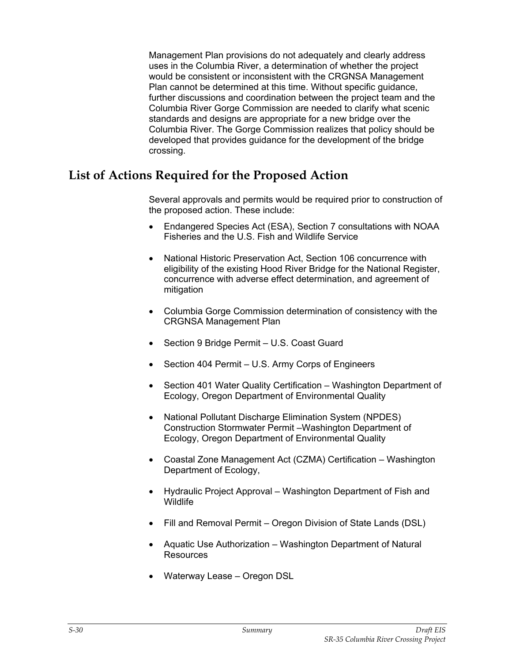Management Plan provisions do not adequately and clearly address uses in the Columbia River, a determination of whether the project would be consistent or inconsistent with the CRGNSA Management Plan cannot be determined at this time. Without specific guidance, further discussions and coordination between the project team and the Columbia River Gorge Commission are needed to clarify what scenic standards and designs are appropriate for a new bridge over the Columbia River. The Gorge Commission realizes that policy should be developed that provides guidance for the development of the bridge crossing.

# **List of Actions Required for the Proposed Action**

Several approvals and permits would be required prior to construction of the proposed action. These include:

- Endangered Species Act (ESA), Section 7 consultations with NOAA Fisheries and the U.S. Fish and Wildlife Service
- National Historic Preservation Act, Section 106 concurrence with eligibility of the existing Hood River Bridge for the National Register, concurrence with adverse effect determination, and agreement of mitigation
- Columbia Gorge Commission determination of consistency with the CRGNSA Management Plan
- Section 9 Bridge Permit U.S. Coast Guard
- Section 404 Permit U.S. Army Corps of Engineers
- Section 401 Water Quality Certification Washington Department of Ecology, Oregon Department of Environmental Quality
- National Pollutant Discharge Elimination System (NPDES) Construction Stormwater Permit –Washington Department of Ecology, Oregon Department of Environmental Quality
- Coastal Zone Management Act (CZMA) Certification Washington Department of Ecology,
- Hydraulic Project Approval Washington Department of Fish and **Wildlife**
- Fill and Removal Permit Oregon Division of State Lands (DSL)
- Aquatic Use Authorization Washington Department of Natural Resources
- Waterway Lease Oregon DSL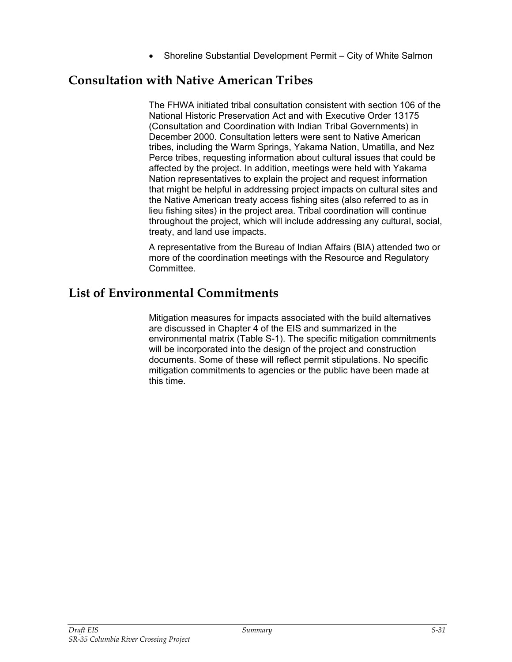• Shoreline Substantial Development Permit – City of White Salmon

# **Consultation with Native American Tribes**

The FHWA initiated tribal consultation consistent with section 106 of the National Historic Preservation Act and with Executive Order 13175 (Consultation and Coordination with Indian Tribal Governments) in December 2000. Consultation letters were sent to Native American tribes, including the Warm Springs, Yakama Nation, Umatilla, and Nez Perce tribes, requesting information about cultural issues that could be affected by the project. In addition, meetings were held with Yakama Nation representatives to explain the project and request information that might be helpful in addressing project impacts on cultural sites and the Native American treaty access fishing sites (also referred to as in lieu fishing sites) in the project area. Tribal coordination will continue throughout the project, which will include addressing any cultural, social, treaty, and land use impacts.

A representative from the Bureau of Indian Affairs (BIA) attended two or more of the coordination meetings with the Resource and Regulatory Committee.

# **List of Environmental Commitments**

Mitigation measures for impacts associated with the build alternatives are discussed in Chapter 4 of the EIS and summarized in the environmental matrix (Table S-1). The specific mitigation commitments will be incorporated into the design of the project and construction documents. Some of these will reflect permit stipulations. No specific mitigation commitments to agencies or the public have been made at this time.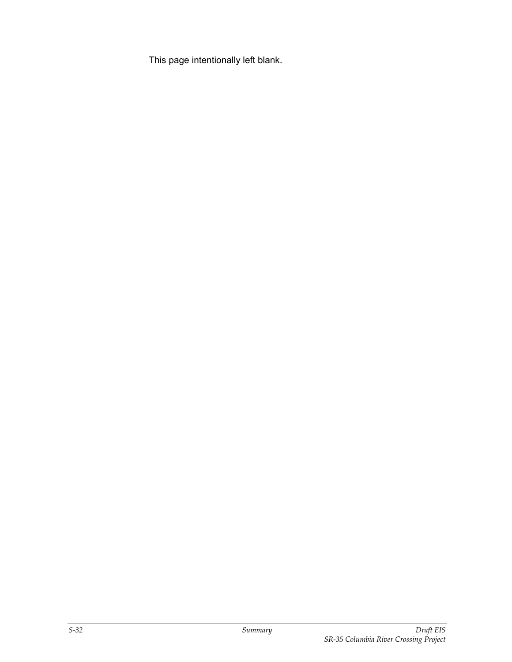This page intentionally left blank.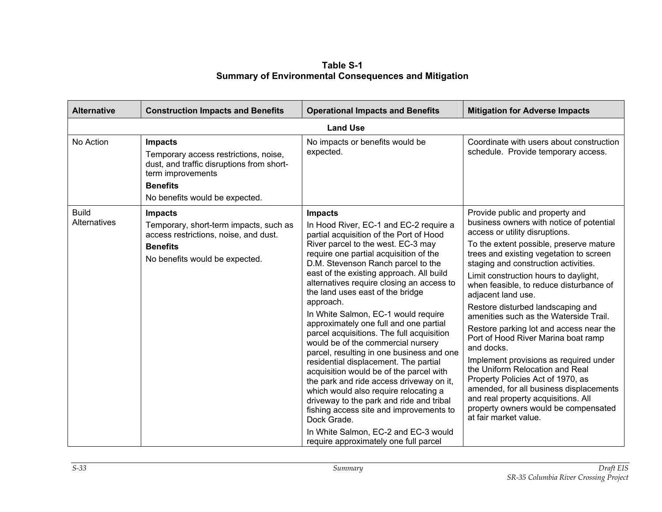**Table S-1 Summary of Environmental Consequences and Mitigation**

| <b>Alternative</b>                  | <b>Construction Impacts and Benefits</b>                                                                                                                                       | <b>Operational Impacts and Benefits</b>                                                                                                                                                                                                                                                                                                                                                                                                                                                                                                                                                                                                                                                                                                                                                                                                                                                                                                              | <b>Mitigation for Adverse Impacts</b>                                                                                                                                                                                                                                                                                                                                                                                                                                                                                                                                                                                                                                                                                                                                                                     |  |  |
|-------------------------------------|--------------------------------------------------------------------------------------------------------------------------------------------------------------------------------|------------------------------------------------------------------------------------------------------------------------------------------------------------------------------------------------------------------------------------------------------------------------------------------------------------------------------------------------------------------------------------------------------------------------------------------------------------------------------------------------------------------------------------------------------------------------------------------------------------------------------------------------------------------------------------------------------------------------------------------------------------------------------------------------------------------------------------------------------------------------------------------------------------------------------------------------------|-----------------------------------------------------------------------------------------------------------------------------------------------------------------------------------------------------------------------------------------------------------------------------------------------------------------------------------------------------------------------------------------------------------------------------------------------------------------------------------------------------------------------------------------------------------------------------------------------------------------------------------------------------------------------------------------------------------------------------------------------------------------------------------------------------------|--|--|
|                                     | <b>Land Use</b>                                                                                                                                                                |                                                                                                                                                                                                                                                                                                                                                                                                                                                                                                                                                                                                                                                                                                                                                                                                                                                                                                                                                      |                                                                                                                                                                                                                                                                                                                                                                                                                                                                                                                                                                                                                                                                                                                                                                                                           |  |  |
| No Action                           | <b>Impacts</b><br>Temporary access restrictions, noise,<br>dust, and traffic disruptions from short-<br>term improvements<br><b>Benefits</b><br>No benefits would be expected. | No impacts or benefits would be<br>expected.                                                                                                                                                                                                                                                                                                                                                                                                                                                                                                                                                                                                                                                                                                                                                                                                                                                                                                         | Coordinate with users about construction<br>schedule. Provide temporary access.                                                                                                                                                                                                                                                                                                                                                                                                                                                                                                                                                                                                                                                                                                                           |  |  |
| <b>Build</b><br><b>Alternatives</b> | <b>Impacts</b><br>Temporary, short-term impacts, such as<br>access restrictions, noise, and dust.<br><b>Benefits</b><br>No benefits would be expected.                         | <b>Impacts</b><br>In Hood River, EC-1 and EC-2 require a<br>partial acquisition of the Port of Hood<br>River parcel to the west. EC-3 may<br>require one partial acquisition of the<br>D.M. Stevenson Ranch parcel to the<br>east of the existing approach. All build<br>alternatives require closing an access to<br>the land uses east of the bridge<br>approach.<br>In White Salmon, EC-1 would require<br>approximately one full and one partial<br>parcel acquisitions. The full acquisition<br>would be of the commercial nursery<br>parcel, resulting in one business and one<br>residential displacement. The partial<br>acquisition would be of the parcel with<br>the park and ride access driveway on it,<br>which would also require relocating a<br>driveway to the park and ride and tribal<br>fishing access site and improvements to<br>Dock Grade.<br>In White Salmon, EC-2 and EC-3 would<br>require approximately one full parcel | Provide public and property and<br>business owners with notice of potential<br>access or utility disruptions.<br>To the extent possible, preserve mature<br>trees and existing vegetation to screen<br>staging and construction activities.<br>Limit construction hours to daylight,<br>when feasible, to reduce disturbance of<br>adjacent land use.<br>Restore disturbed landscaping and<br>amenities such as the Waterside Trail.<br>Restore parking lot and access near the<br>Port of Hood River Marina boat ramp<br>and docks.<br>Implement provisions as required under<br>the Uniform Relocation and Real<br>Property Policies Act of 1970, as<br>amended, for all business displacements<br>and real property acquisitions. All<br>property owners would be compensated<br>at fair market value. |  |  |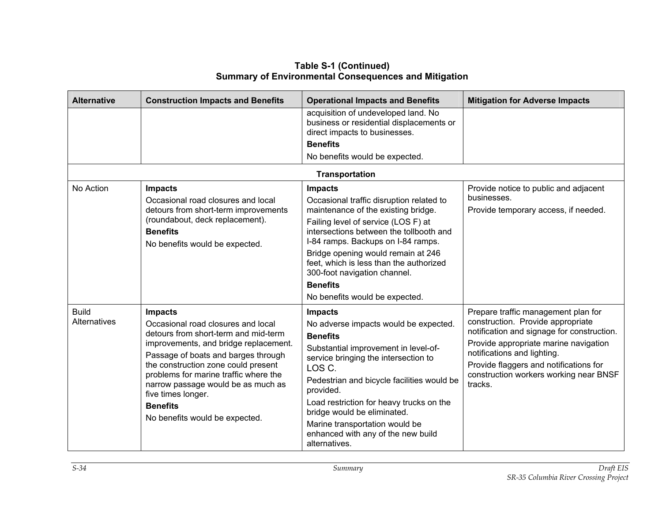| <b>Alternative</b>           | <b>Construction Impacts and Benefits</b>                                                                                                                                                                                                                                                                                                                                      | <b>Operational Impacts and Benefits</b>                                                                                                                                                                                                                                                                                                                                                             | <b>Mitigation for Adverse Impacts</b>                                                                                                                                                                                                                                                         |
|------------------------------|-------------------------------------------------------------------------------------------------------------------------------------------------------------------------------------------------------------------------------------------------------------------------------------------------------------------------------------------------------------------------------|-----------------------------------------------------------------------------------------------------------------------------------------------------------------------------------------------------------------------------------------------------------------------------------------------------------------------------------------------------------------------------------------------------|-----------------------------------------------------------------------------------------------------------------------------------------------------------------------------------------------------------------------------------------------------------------------------------------------|
|                              |                                                                                                                                                                                                                                                                                                                                                                               | acquisition of undeveloped land. No<br>business or residential displacements or<br>direct impacts to businesses.                                                                                                                                                                                                                                                                                    |                                                                                                                                                                                                                                                                                               |
|                              |                                                                                                                                                                                                                                                                                                                                                                               | <b>Benefits</b>                                                                                                                                                                                                                                                                                                                                                                                     |                                                                                                                                                                                                                                                                                               |
|                              |                                                                                                                                                                                                                                                                                                                                                                               | No benefits would be expected.                                                                                                                                                                                                                                                                                                                                                                      |                                                                                                                                                                                                                                                                                               |
|                              |                                                                                                                                                                                                                                                                                                                                                                               | <b>Transportation</b>                                                                                                                                                                                                                                                                                                                                                                               |                                                                                                                                                                                                                                                                                               |
| No Action                    | <b>Impacts</b><br>Occasional road closures and local<br>detours from short-term improvements<br>(roundabout, deck replacement).<br><b>Benefits</b><br>No benefits would be expected.                                                                                                                                                                                          | <b>Impacts</b><br>Occasional traffic disruption related to<br>maintenance of the existing bridge.<br>Failing level of service (LOS F) at<br>intersections between the tollbooth and<br>I-84 ramps. Backups on I-84 ramps.<br>Bridge opening would remain at 246<br>feet, which is less than the authorized<br>300-foot navigation channel.<br><b>Benefits</b><br>No benefits would be expected.     | Provide notice to public and adjacent<br>businesses.<br>Provide temporary access, if needed.                                                                                                                                                                                                  |
| <b>Build</b><br>Alternatives | <b>Impacts</b><br>Occasional road closures and local<br>detours from short-term and mid-term<br>improvements, and bridge replacement.<br>Passage of boats and barges through<br>the construction zone could present<br>problems for marine traffic where the<br>narrow passage would be as much as<br>five times longer.<br><b>Benefits</b><br>No benefits would be expected. | <b>Impacts</b><br>No adverse impacts would be expected.<br><b>Benefits</b><br>Substantial improvement in level-of-<br>service bringing the intersection to<br>LOS C.<br>Pedestrian and bicycle facilities would be<br>provided.<br>Load restriction for heavy trucks on the<br>bridge would be eliminated.<br>Marine transportation would be<br>enhanced with any of the new build<br>alternatives. | Prepare traffic management plan for<br>construction. Provide appropriate<br>notification and signage for construction.<br>Provide appropriate marine navigation<br>notifications and lighting.<br>Provide flaggers and notifications for<br>construction workers working near BNSF<br>tracks. |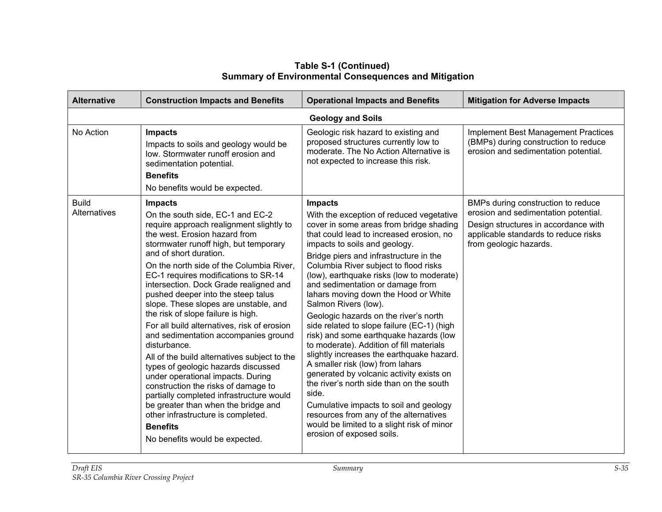| <b>Alternative</b>                  | <b>Construction Impacts and Benefits</b>                                                                                                                                                                                                                                                                                                                                                                                                                                                                                                                                                                                                                                                                                                                                                                                                                                                                      | <b>Operational Impacts and Benefits</b>                                                                                                                                                                                                                                                                                                                                                                                                                                                                                                                                                                                                                                                                                                                                                                                                                                                                                                              | <b>Mitigation for Adverse Impacts</b>                                                                                                                                                |
|-------------------------------------|---------------------------------------------------------------------------------------------------------------------------------------------------------------------------------------------------------------------------------------------------------------------------------------------------------------------------------------------------------------------------------------------------------------------------------------------------------------------------------------------------------------------------------------------------------------------------------------------------------------------------------------------------------------------------------------------------------------------------------------------------------------------------------------------------------------------------------------------------------------------------------------------------------------|------------------------------------------------------------------------------------------------------------------------------------------------------------------------------------------------------------------------------------------------------------------------------------------------------------------------------------------------------------------------------------------------------------------------------------------------------------------------------------------------------------------------------------------------------------------------------------------------------------------------------------------------------------------------------------------------------------------------------------------------------------------------------------------------------------------------------------------------------------------------------------------------------------------------------------------------------|--------------------------------------------------------------------------------------------------------------------------------------------------------------------------------------|
|                                     |                                                                                                                                                                                                                                                                                                                                                                                                                                                                                                                                                                                                                                                                                                                                                                                                                                                                                                               | <b>Geology and Soils</b>                                                                                                                                                                                                                                                                                                                                                                                                                                                                                                                                                                                                                                                                                                                                                                                                                                                                                                                             |                                                                                                                                                                                      |
| No Action                           | <b>Impacts</b><br>Impacts to soils and geology would be<br>low. Stormwater runoff erosion and<br>sedimentation potential.<br><b>Benefits</b><br>No benefits would be expected.                                                                                                                                                                                                                                                                                                                                                                                                                                                                                                                                                                                                                                                                                                                                | Geologic risk hazard to existing and<br>proposed structures currently low to<br>moderate. The No Action Alternative is<br>not expected to increase this risk.                                                                                                                                                                                                                                                                                                                                                                                                                                                                                                                                                                                                                                                                                                                                                                                        | <b>Implement Best Management Practices</b><br>(BMPs) during construction to reduce<br>erosion and sedimentation potential.                                                           |
| <b>Build</b><br><b>Alternatives</b> | <b>Impacts</b><br>On the south side, EC-1 and EC-2<br>require approach realignment slightly to<br>the west. Erosion hazard from<br>stormwater runoff high, but temporary<br>and of short duration.<br>On the north side of the Columbia River,<br>EC-1 requires modifications to SR-14<br>intersection. Dock Grade realigned and<br>pushed deeper into the steep talus<br>slope. These slopes are unstable, and<br>the risk of slope failure is high.<br>For all build alternatives, risk of erosion<br>and sedimentation accompanies ground<br>disturbance.<br>All of the build alternatives subject to the<br>types of geologic hazards discussed<br>under operational impacts. During<br>construction the risks of damage to<br>partially completed infrastructure would<br>be greater than when the bridge and<br>other infrastructure is completed.<br><b>Benefits</b><br>No benefits would be expected. | <b>Impacts</b><br>With the exception of reduced vegetative<br>cover in some areas from bridge shading<br>that could lead to increased erosion, no<br>impacts to soils and geology.<br>Bridge piers and infrastructure in the<br>Columbia River subject to flood risks<br>(low), earthquake risks (low to moderate)<br>and sedimentation or damage from<br>lahars moving down the Hood or White<br>Salmon Rivers (low).<br>Geologic hazards on the river's north<br>side related to slope failure (EC-1) (high<br>risk) and some earthquake hazards (low<br>to moderate). Addition of fill materials<br>slightly increases the earthquake hazard.<br>A smaller risk (low) from lahars<br>generated by volcanic activity exists on<br>the river's north side than on the south<br>side.<br>Cumulative impacts to soil and geology<br>resources from any of the alternatives<br>would be limited to a slight risk of minor<br>erosion of exposed soils. | BMPs during construction to reduce<br>erosion and sedimentation potential.<br>Design structures in accordance with<br>applicable standards to reduce risks<br>from geologic hazards. |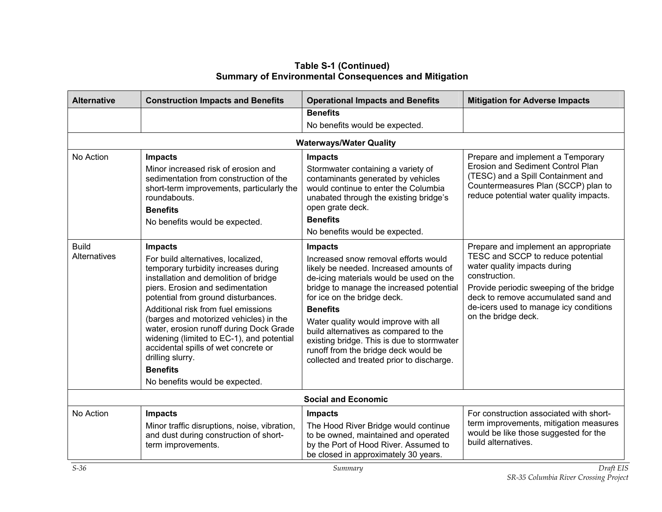| <b>Alternative</b>           | <b>Construction Impacts and Benefits</b>                                                                                                                                                                                                                                                                                                                                                                                                                                                                   | <b>Operational Impacts and Benefits</b>                                                                                                                                                                                                                                                                                                                                                                                                                       | <b>Mitigation for Adverse Impacts</b>                                                                                                                                                                                                                                         |
|------------------------------|------------------------------------------------------------------------------------------------------------------------------------------------------------------------------------------------------------------------------------------------------------------------------------------------------------------------------------------------------------------------------------------------------------------------------------------------------------------------------------------------------------|---------------------------------------------------------------------------------------------------------------------------------------------------------------------------------------------------------------------------------------------------------------------------------------------------------------------------------------------------------------------------------------------------------------------------------------------------------------|-------------------------------------------------------------------------------------------------------------------------------------------------------------------------------------------------------------------------------------------------------------------------------|
|                              |                                                                                                                                                                                                                                                                                                                                                                                                                                                                                                            | <b>Benefits</b>                                                                                                                                                                                                                                                                                                                                                                                                                                               |                                                                                                                                                                                                                                                                               |
|                              |                                                                                                                                                                                                                                                                                                                                                                                                                                                                                                            | No benefits would be expected.                                                                                                                                                                                                                                                                                                                                                                                                                                |                                                                                                                                                                                                                                                                               |
|                              |                                                                                                                                                                                                                                                                                                                                                                                                                                                                                                            | <b>Waterways/Water Quality</b>                                                                                                                                                                                                                                                                                                                                                                                                                                |                                                                                                                                                                                                                                                                               |
| No Action                    | <b>Impacts</b><br>Minor increased risk of erosion and<br>sedimentation from construction of the<br>short-term improvements, particularly the<br>roundabouts.<br><b>Benefits</b><br>No benefits would be expected.                                                                                                                                                                                                                                                                                          | <b>Impacts</b><br>Stormwater containing a variety of<br>contaminants generated by vehicles<br>would continue to enter the Columbia<br>unabated through the existing bridge's<br>open grate deck.<br><b>Benefits</b><br>No benefits would be expected.                                                                                                                                                                                                         | Prepare and implement a Temporary<br>Erosion and Sediment Control Plan<br>(TESC) and a Spill Containment and<br>Countermeasures Plan (SCCP) plan to<br>reduce potential water quality impacts.                                                                                |
| <b>Build</b><br>Alternatives | <b>Impacts</b><br>For build alternatives, localized,<br>temporary turbidity increases during<br>installation and demolition of bridge<br>piers. Erosion and sedimentation<br>potential from ground disturbances.<br>Additional risk from fuel emissions<br>(barges and motorized vehicles) in the<br>water, erosion runoff during Dock Grade<br>widening (limited to EC-1), and potential<br>accidental spills of wet concrete or<br>drilling slurry.<br><b>Benefits</b><br>No benefits would be expected. | <b>Impacts</b><br>Increased snow removal efforts would<br>likely be needed. Increased amounts of<br>de-icing materials would be used on the<br>bridge to manage the increased potential<br>for ice on the bridge deck.<br><b>Benefits</b><br>Water quality would improve with all<br>build alternatives as compared to the<br>existing bridge. This is due to stormwater<br>runoff from the bridge deck would be<br>collected and treated prior to discharge. | Prepare and implement an appropriate<br>TESC and SCCP to reduce potential<br>water quality impacts during<br>construction.<br>Provide periodic sweeping of the bridge<br>deck to remove accumulated sand and<br>de-icers used to manage icy conditions<br>on the bridge deck. |
|                              |                                                                                                                                                                                                                                                                                                                                                                                                                                                                                                            | <b>Social and Economic</b>                                                                                                                                                                                                                                                                                                                                                                                                                                    |                                                                                                                                                                                                                                                                               |
| No Action                    | <b>Impacts</b><br>Minor traffic disruptions, noise, vibration,<br>and dust during construction of short-<br>term improvements.                                                                                                                                                                                                                                                                                                                                                                             | <b>Impacts</b><br>The Hood River Bridge would continue<br>to be owned, maintained and operated<br>by the Port of Hood River. Assumed to<br>be closed in approximately 30 years.                                                                                                                                                                                                                                                                               | For construction associated with short-<br>term improvements, mitigation measures<br>would be like those suggested for the<br>build alternatives.                                                                                                                             |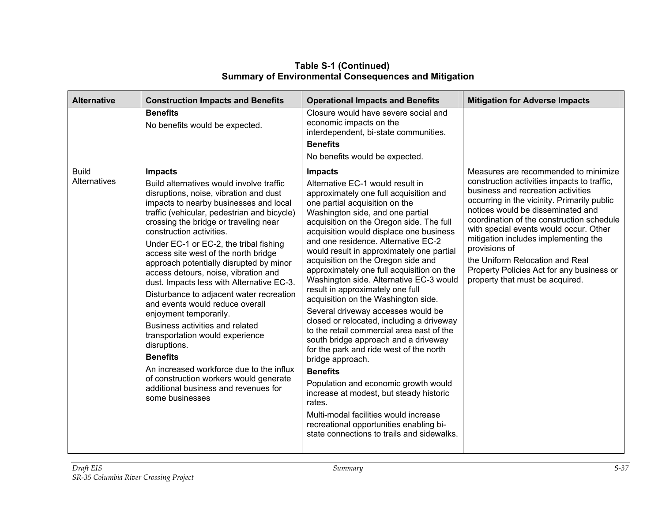| <b>Alternative</b>           | <b>Construction Impacts and Benefits</b>                                                                                                                                                                                                                                                                                                                                                                                                                                                                                                                                                                                                                                                                                                                                                                                                                | <b>Operational Impacts and Benefits</b>                                                                                                                                                                                                                                                                                                                                                                                                                                                                                                                                                                                                                                                                                                                                                                                                                                                                                                                                                                                                         | <b>Mitigation for Adverse Impacts</b>                                                                                                                                                                                                                                                                                                                                                                                                                                            |
|------------------------------|---------------------------------------------------------------------------------------------------------------------------------------------------------------------------------------------------------------------------------------------------------------------------------------------------------------------------------------------------------------------------------------------------------------------------------------------------------------------------------------------------------------------------------------------------------------------------------------------------------------------------------------------------------------------------------------------------------------------------------------------------------------------------------------------------------------------------------------------------------|-------------------------------------------------------------------------------------------------------------------------------------------------------------------------------------------------------------------------------------------------------------------------------------------------------------------------------------------------------------------------------------------------------------------------------------------------------------------------------------------------------------------------------------------------------------------------------------------------------------------------------------------------------------------------------------------------------------------------------------------------------------------------------------------------------------------------------------------------------------------------------------------------------------------------------------------------------------------------------------------------------------------------------------------------|----------------------------------------------------------------------------------------------------------------------------------------------------------------------------------------------------------------------------------------------------------------------------------------------------------------------------------------------------------------------------------------------------------------------------------------------------------------------------------|
|                              | <b>Benefits</b><br>No benefits would be expected.                                                                                                                                                                                                                                                                                                                                                                                                                                                                                                                                                                                                                                                                                                                                                                                                       | Closure would have severe social and<br>economic impacts on the<br>interdependent, bi-state communities.<br><b>Benefits</b><br>No benefits would be expected.                                                                                                                                                                                                                                                                                                                                                                                                                                                                                                                                                                                                                                                                                                                                                                                                                                                                                   |                                                                                                                                                                                                                                                                                                                                                                                                                                                                                  |
| <b>Build</b><br>Alternatives | <b>Impacts</b><br>Build alternatives would involve traffic<br>disruptions, noise, vibration and dust<br>impacts to nearby businesses and local<br>traffic (vehicular, pedestrian and bicycle)<br>crossing the bridge or traveling near<br>construction activities.<br>Under EC-1 or EC-2, the tribal fishing<br>access site west of the north bridge<br>approach potentially disrupted by minor<br>access detours, noise, vibration and<br>dust. Impacts less with Alternative EC-3.<br>Disturbance to adjacent water recreation<br>and events would reduce overall<br>enjoyment temporarily.<br>Business activities and related<br>transportation would experience<br>disruptions.<br><b>Benefits</b><br>An increased workforce due to the influx<br>of construction workers would generate<br>additional business and revenues for<br>some businesses | <b>Impacts</b><br>Alternative EC-1 would result in<br>approximately one full acquisition and<br>one partial acquisition on the<br>Washington side, and one partial<br>acquisition on the Oregon side. The full<br>acquisition would displace one business<br>and one residence. Alternative EC-2<br>would result in approximately one partial<br>acquisition on the Oregon side and<br>approximately one full acquisition on the<br>Washington side. Alternative EC-3 would<br>result in approximately one full<br>acquisition on the Washington side.<br>Several driveway accesses would be<br>closed or relocated, including a driveway<br>to the retail commercial area east of the<br>south bridge approach and a driveway<br>for the park and ride west of the north<br>bridge approach.<br><b>Benefits</b><br>Population and economic growth would<br>increase at modest, but steady historic<br>rates.<br>Multi-modal facilities would increase<br>recreational opportunities enabling bi-<br>state connections to trails and sidewalks. | Measures are recommended to minimize<br>construction activities impacts to traffic,<br>business and recreation activities<br>occurring in the vicinity. Primarily public<br>notices would be disseminated and<br>coordination of the construction schedule<br>with special events would occur. Other<br>mitigation includes implementing the<br>provisions of<br>the Uniform Relocation and Real<br>Property Policies Act for any business or<br>property that must be acquired. |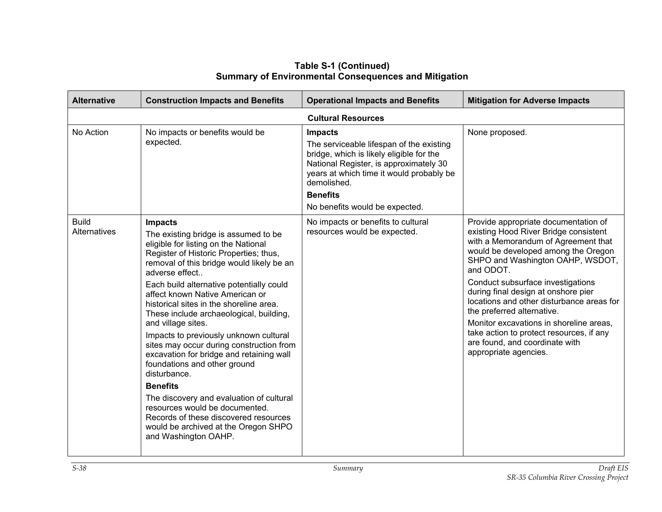| <b>Alternative</b>           | <b>Construction Impacts and Benefits</b>                                                                                                                                                                                                                                                                                                                                                                                                                                                                                                                                                                                                                                                                                                                                                       | <b>Operational Impacts and Benefits</b>                                                                                                                                                                                                                          | <b>Mitigation for Adverse Impacts</b>                                                                                                                                                                                                                                                                                                                                                                                                                                                                                 |  |  |
|------------------------------|------------------------------------------------------------------------------------------------------------------------------------------------------------------------------------------------------------------------------------------------------------------------------------------------------------------------------------------------------------------------------------------------------------------------------------------------------------------------------------------------------------------------------------------------------------------------------------------------------------------------------------------------------------------------------------------------------------------------------------------------------------------------------------------------|------------------------------------------------------------------------------------------------------------------------------------------------------------------------------------------------------------------------------------------------------------------|-----------------------------------------------------------------------------------------------------------------------------------------------------------------------------------------------------------------------------------------------------------------------------------------------------------------------------------------------------------------------------------------------------------------------------------------------------------------------------------------------------------------------|--|--|
|                              | <b>Cultural Resources</b>                                                                                                                                                                                                                                                                                                                                                                                                                                                                                                                                                                                                                                                                                                                                                                      |                                                                                                                                                                                                                                                                  |                                                                                                                                                                                                                                                                                                                                                                                                                                                                                                                       |  |  |
| No Action                    | No impacts or benefits would be<br>expected.                                                                                                                                                                                                                                                                                                                                                                                                                                                                                                                                                                                                                                                                                                                                                   | <b>Impacts</b><br>The serviceable lifespan of the existing<br>bridge, which is likely eligible for the<br>National Register, is approximately 30<br>years at which time it would probably be<br>demolished.<br><b>Benefits</b><br>No benefits would be expected. | None proposed.                                                                                                                                                                                                                                                                                                                                                                                                                                                                                                        |  |  |
| <b>Build</b><br>Alternatives | <b>Impacts</b><br>The existing bridge is assumed to be<br>eligible for listing on the National<br>Register of Historic Properties; thus,<br>removal of this bridge would likely be an<br>adverse effect<br>Each build alternative potentially could<br>affect known Native American or<br>historical sites in the shoreline area.<br>These include archaeological, building,<br>and village sites.<br>Impacts to previously unknown cultural<br>sites may occur during construction from<br>excavation for bridge and retaining wall<br>foundations and other ground<br>disturbance.<br><b>Benefits</b><br>The discovery and evaluation of cultural<br>resources would be documented.<br>Records of these discovered resources<br>would be archived at the Oregon SHPO<br>and Washington OAHP. | No impacts or benefits to cultural<br>resources would be expected.                                                                                                                                                                                               | Provide appropriate documentation of<br>existing Hood River Bridge consistent<br>with a Memorandum of Agreement that<br>would be developed among the Oregon<br>SHPO and Washington OAHP, WSDOT,<br>and ODOT.<br>Conduct subsurface investigations<br>during final design at onshore pier<br>locations and other disturbance areas for<br>the preferred alternative.<br>Monitor excavations in shoreline areas.<br>take action to protect resources, if any<br>are found, and coordinate with<br>appropriate agencies. |  |  |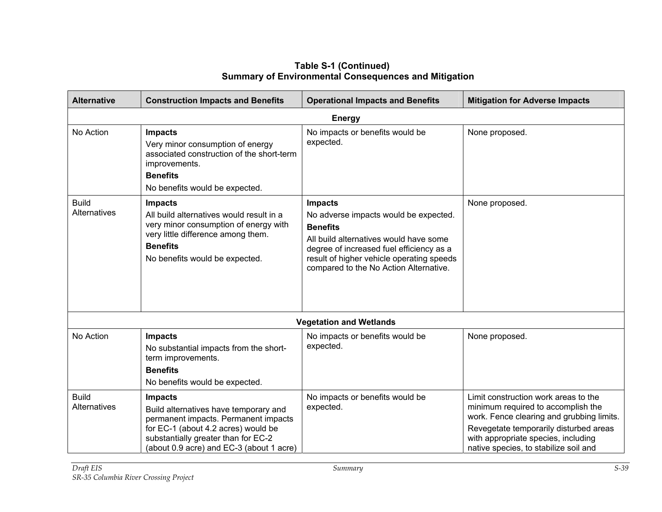| <b>Alternative</b>           | <b>Construction Impacts and Benefits</b>                                                                                                                                                                                  | <b>Operational Impacts and Benefits</b>                                                                                                                                                                                                                 | <b>Mitigation for Adverse Impacts</b>                                                                                                                                                                                                             |
|------------------------------|---------------------------------------------------------------------------------------------------------------------------------------------------------------------------------------------------------------------------|---------------------------------------------------------------------------------------------------------------------------------------------------------------------------------------------------------------------------------------------------------|---------------------------------------------------------------------------------------------------------------------------------------------------------------------------------------------------------------------------------------------------|
|                              |                                                                                                                                                                                                                           | <b>Energy</b>                                                                                                                                                                                                                                           |                                                                                                                                                                                                                                                   |
| No Action                    | <b>Impacts</b><br>Very minor consumption of energy<br>associated construction of the short-term<br>improvements.<br><b>Benefits</b><br>No benefits would be expected.                                                     | No impacts or benefits would be<br>expected.                                                                                                                                                                                                            | None proposed.                                                                                                                                                                                                                                    |
| <b>Build</b><br>Alternatives | <b>Impacts</b><br>All build alternatives would result in a<br>very minor consumption of energy with<br>very little difference among them.<br><b>Benefits</b><br>No benefits would be expected.                            | <b>Impacts</b><br>No adverse impacts would be expected.<br><b>Benefits</b><br>All build alternatives would have some<br>degree of increased fuel efficiency as a<br>result of higher vehicle operating speeds<br>compared to the No Action Alternative. | None proposed.                                                                                                                                                                                                                                    |
|                              |                                                                                                                                                                                                                           | <b>Vegetation and Wetlands</b>                                                                                                                                                                                                                          |                                                                                                                                                                                                                                                   |
| No Action                    | <b>Impacts</b><br>No substantial impacts from the short-<br>term improvements.<br><b>Benefits</b><br>No benefits would be expected.                                                                                       | No impacts or benefits would be<br>expected.                                                                                                                                                                                                            | None proposed.                                                                                                                                                                                                                                    |
| <b>Build</b><br>Alternatives | <b>Impacts</b><br>Build alternatives have temporary and<br>permanent impacts. Permanent impacts<br>for EC-1 (about 4.2 acres) would be<br>substantially greater than for EC-2<br>(about 0.9 acre) and EC-3 (about 1 acre) | No impacts or benefits would be<br>expected.                                                                                                                                                                                                            | Limit construction work areas to the<br>minimum required to accomplish the<br>work. Fence clearing and grubbing limits.<br>Revegetate temporarily disturbed areas<br>with appropriate species, including<br>native species, to stabilize soil and |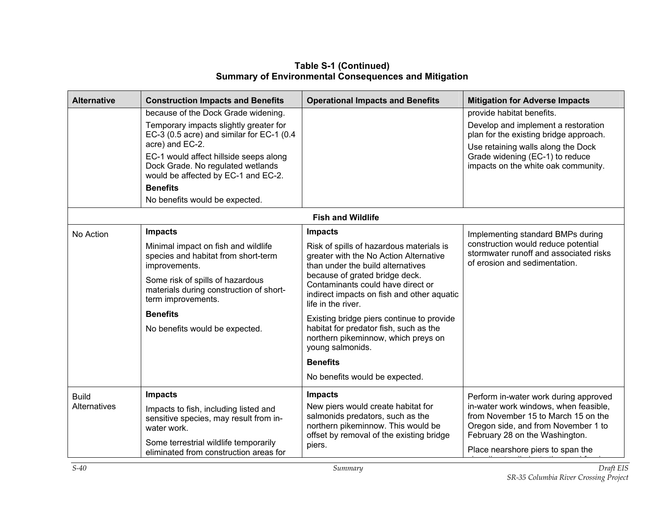| <b>Alternative</b>  | <b>Construction Impacts and Benefits</b>                                                                           | <b>Operational Impacts and Benefits</b>                                                                                                                  | <b>Mitigation for Adverse Impacts</b>                                                                                                                 |
|---------------------|--------------------------------------------------------------------------------------------------------------------|----------------------------------------------------------------------------------------------------------------------------------------------------------|-------------------------------------------------------------------------------------------------------------------------------------------------------|
|                     | because of the Dock Grade widening.                                                                                |                                                                                                                                                          | provide habitat benefits.                                                                                                                             |
|                     | Temporary impacts slightly greater for<br>EC-3 (0.5 acre) and similar for EC-1 (0.4<br>acre) and EC-2.             |                                                                                                                                                          | Develop and implement a restoration<br>plan for the existing bridge approach.                                                                         |
|                     | EC-1 would affect hillside seeps along<br>Dock Grade. No regulated wetlands<br>would be affected by EC-1 and EC-2. |                                                                                                                                                          | Use retaining walls along the Dock<br>Grade widening (EC-1) to reduce<br>impacts on the white oak community.                                          |
|                     | <b>Benefits</b>                                                                                                    |                                                                                                                                                          |                                                                                                                                                       |
|                     | No benefits would be expected.                                                                                     |                                                                                                                                                          |                                                                                                                                                       |
|                     |                                                                                                                    | <b>Fish and Wildlife</b>                                                                                                                                 |                                                                                                                                                       |
| No Action           | <b>Impacts</b>                                                                                                     | <b>Impacts</b>                                                                                                                                           | Implementing standard BMPs during                                                                                                                     |
|                     | Minimal impact on fish and wildlife<br>species and habitat from short-term<br>improvements.                        | Risk of spills of hazardous materials is<br>greater with the No Action Alternative<br>than under the build alternatives                                  | construction would reduce potential<br>stormwater runoff and associated risks<br>of erosion and sedimentation.                                        |
|                     | Some risk of spills of hazardous<br>materials during construction of short-<br>term improvements.                  | because of grated bridge deck.<br>Contaminants could have direct or<br>indirect impacts on fish and other aquatic<br>life in the river.                  |                                                                                                                                                       |
|                     | <b>Benefits</b>                                                                                                    | Existing bridge piers continue to provide                                                                                                                |                                                                                                                                                       |
|                     | No benefits would be expected.                                                                                     | habitat for predator fish, such as the<br>northern pikeminnow, which preys on<br>young salmonids.                                                        |                                                                                                                                                       |
|                     |                                                                                                                    | <b>Benefits</b>                                                                                                                                          |                                                                                                                                                       |
|                     |                                                                                                                    | No benefits would be expected.                                                                                                                           |                                                                                                                                                       |
| <b>Build</b>        | <b>Impacts</b>                                                                                                     | <b>Impacts</b>                                                                                                                                           | Perform in-water work during approved                                                                                                                 |
| <b>Alternatives</b> | Impacts to fish, including listed and<br>sensitive species, may result from in-<br>water work.                     | New piers would create habitat for<br>salmonids predators, such as the<br>northern pikeminnow. This would be<br>offset by removal of the existing bridge | in-water work windows, when feasible,<br>from November 15 to March 15 on the<br>Oregon side, and from November 1 to<br>February 28 on the Washington. |
|                     | Some terrestrial wildlife temporarily<br>eliminated from construction areas for                                    | piers.                                                                                                                                                   | Place nearshore piers to span the                                                                                                                     |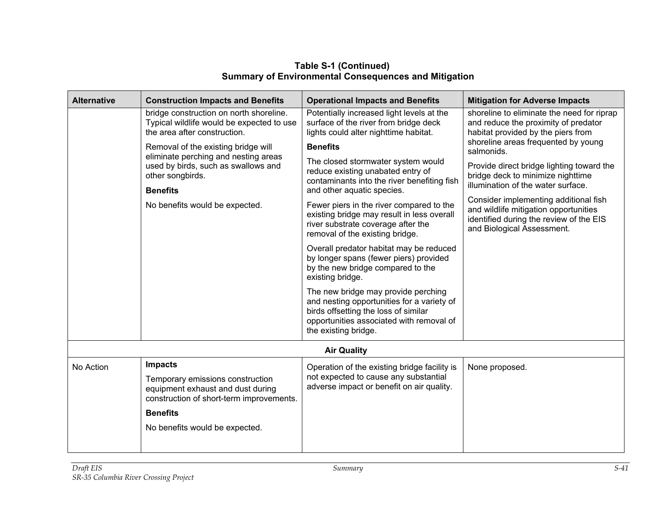| <b>Alternative</b> | <b>Construction Impacts and Benefits</b>                                                                                                                                                                                                                                                                            | <b>Operational Impacts and Benefits</b>                                                                                                                                                                                                                                                                                                                                                                                                                                                                                                                                                                                                                                                                                                                                                                                  | <b>Mitigation for Adverse Impacts</b>                                                                                                                                                                                                                                                                                                                                                                                                                            |
|--------------------|---------------------------------------------------------------------------------------------------------------------------------------------------------------------------------------------------------------------------------------------------------------------------------------------------------------------|--------------------------------------------------------------------------------------------------------------------------------------------------------------------------------------------------------------------------------------------------------------------------------------------------------------------------------------------------------------------------------------------------------------------------------------------------------------------------------------------------------------------------------------------------------------------------------------------------------------------------------------------------------------------------------------------------------------------------------------------------------------------------------------------------------------------------|------------------------------------------------------------------------------------------------------------------------------------------------------------------------------------------------------------------------------------------------------------------------------------------------------------------------------------------------------------------------------------------------------------------------------------------------------------------|
|                    | bridge construction on north shoreline.<br>Typical wildlife would be expected to use<br>the area after construction.<br>Removal of the existing bridge will<br>eliminate perching and nesting areas<br>used by birds, such as swallows and<br>other songbirds.<br><b>Benefits</b><br>No benefits would be expected. | Potentially increased light levels at the<br>surface of the river from bridge deck<br>lights could alter nighttime habitat.<br><b>Benefits</b><br>The closed stormwater system would<br>reduce existing unabated entry of<br>contaminants into the river benefiting fish<br>and other aquatic species.<br>Fewer piers in the river compared to the<br>existing bridge may result in less overall<br>river substrate coverage after the<br>removal of the existing bridge.<br>Overall predator habitat may be reduced<br>by longer spans (fewer piers) provided<br>by the new bridge compared to the<br>existing bridge.<br>The new bridge may provide perching<br>and nesting opportunities for a variety of<br>birds offsetting the loss of similar<br>opportunities associated with removal of<br>the existing bridge. | shoreline to eliminate the need for riprap<br>and reduce the proximity of predator<br>habitat provided by the piers from<br>shoreline areas frequented by young<br>salmonids.<br>Provide direct bridge lighting toward the<br>bridge deck to minimize nighttime<br>illumination of the water surface.<br>Consider implementing additional fish<br>and wildlife mitigation opportunities<br>identified during the review of the EIS<br>and Biological Assessment. |
|                    |                                                                                                                                                                                                                                                                                                                     | <b>Air Quality</b>                                                                                                                                                                                                                                                                                                                                                                                                                                                                                                                                                                                                                                                                                                                                                                                                       |                                                                                                                                                                                                                                                                                                                                                                                                                                                                  |
| No Action          | Impacts<br>Temporary emissions construction<br>equipment exhaust and dust during<br>construction of short-term improvements.<br><b>Benefits</b><br>No benefits would be expected.                                                                                                                                   | Operation of the existing bridge facility is<br>not expected to cause any substantial<br>adverse impact or benefit on air quality.                                                                                                                                                                                                                                                                                                                                                                                                                                                                                                                                                                                                                                                                                       | None proposed.                                                                                                                                                                                                                                                                                                                                                                                                                                                   |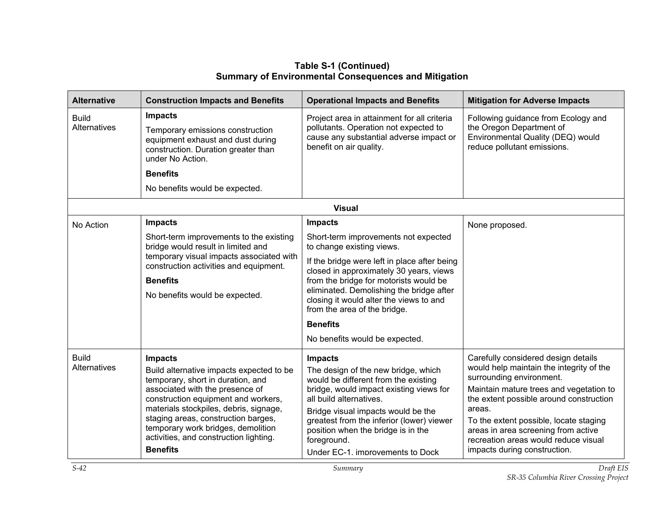| <b>Alternative</b>                  | <b>Construction Impacts and Benefits</b>                                                                                                                                                                                                                                                                                                                      | <b>Operational Impacts and Benefits</b>                                                                                                                                                                                                                                                                                                                                                              | <b>Mitigation for Adverse Impacts</b>                                                                                                                                                                                                                                                                                                                                |
|-------------------------------------|---------------------------------------------------------------------------------------------------------------------------------------------------------------------------------------------------------------------------------------------------------------------------------------------------------------------------------------------------------------|------------------------------------------------------------------------------------------------------------------------------------------------------------------------------------------------------------------------------------------------------------------------------------------------------------------------------------------------------------------------------------------------------|----------------------------------------------------------------------------------------------------------------------------------------------------------------------------------------------------------------------------------------------------------------------------------------------------------------------------------------------------------------------|
| <b>Build</b><br><b>Alternatives</b> | <b>Impacts</b><br>Temporary emissions construction<br>equipment exhaust and dust during<br>construction. Duration greater than<br>under No Action.<br><b>Benefits</b><br>No benefits would be expected.                                                                                                                                                       | Project area in attainment for all criteria<br>pollutants. Operation not expected to<br>cause any substantial adverse impact or<br>benefit on air quality.                                                                                                                                                                                                                                           | Following guidance from Ecology and<br>the Oregon Department of<br>Environmental Quality (DEQ) would<br>reduce pollutant emissions.                                                                                                                                                                                                                                  |
|                                     |                                                                                                                                                                                                                                                                                                                                                               | <b>Visual</b>                                                                                                                                                                                                                                                                                                                                                                                        |                                                                                                                                                                                                                                                                                                                                                                      |
| No Action                           | <b>Impacts</b><br>Short-term improvements to the existing<br>bridge would result in limited and<br>temporary visual impacts associated with<br>construction activities and equipment.<br><b>Benefits</b><br>No benefits would be expected.                                                                                                                    | <b>Impacts</b><br>Short-term improvements not expected<br>to change existing views.<br>If the bridge were left in place after being<br>closed in approximately 30 years, views<br>from the bridge for motorists would be<br>eliminated. Demolishing the bridge after<br>closing it would alter the views to and<br>from the area of the bridge.<br><b>Benefits</b><br>No benefits would be expected. | None proposed.                                                                                                                                                                                                                                                                                                                                                       |
| <b>Build</b><br>Alternatives        | <b>Impacts</b><br>Build alternative impacts expected to be<br>temporary, short in duration, and<br>associated with the presence of<br>construction equipment and workers,<br>materials stockpiles, debris, signage,<br>staging areas, construction barges,<br>temporary work bridges, demolition<br>activities, and construction lighting.<br><b>Benefits</b> | <b>Impacts</b><br>The design of the new bridge, which<br>would be different from the existing<br>bridge, would impact existing views for<br>all build alternatives.<br>Bridge visual impacts would be the<br>greatest from the inferior (lower) viewer<br>position when the bridge is in the<br>foreground.<br>Under EC-1. improvements to Dock                                                      | Carefully considered design details<br>would help maintain the integrity of the<br>surrounding environment.<br>Maintain mature trees and vegetation to<br>the extent possible around construction<br>areas.<br>To the extent possible, locate staging<br>areas in area screening from active<br>recreation areas would reduce visual<br>impacts during construction. |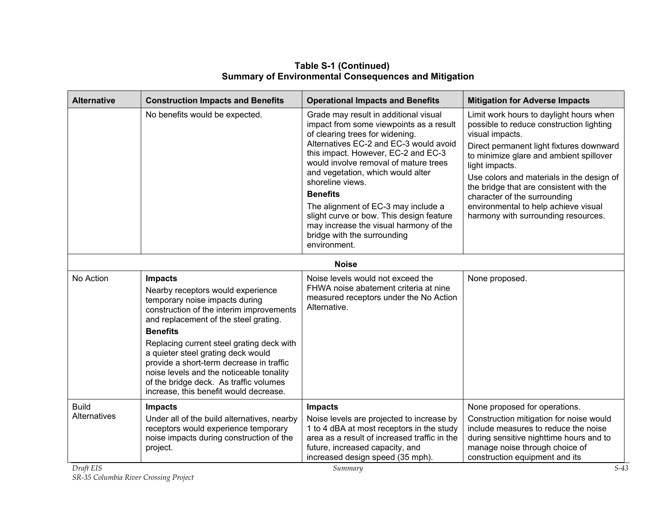| <b>Alternative</b>           | <b>Construction Impacts and Benefits</b>                                                                                                                                                                                                                                                                                                                                                                                                                     | <b>Operational Impacts and Benefits</b>                                                                                                                                                                                                                                                                                                                                                                                                                                                               | <b>Mitigation for Adverse Impacts</b>                                                                                                                                                                                                                                                                                                                                                                                  |
|------------------------------|--------------------------------------------------------------------------------------------------------------------------------------------------------------------------------------------------------------------------------------------------------------------------------------------------------------------------------------------------------------------------------------------------------------------------------------------------------------|-------------------------------------------------------------------------------------------------------------------------------------------------------------------------------------------------------------------------------------------------------------------------------------------------------------------------------------------------------------------------------------------------------------------------------------------------------------------------------------------------------|------------------------------------------------------------------------------------------------------------------------------------------------------------------------------------------------------------------------------------------------------------------------------------------------------------------------------------------------------------------------------------------------------------------------|
|                              | No benefits would be expected.                                                                                                                                                                                                                                                                                                                                                                                                                               | Grade may result in additional visual<br>impact from some viewpoints as a result<br>of clearing trees for widening.<br>Alternatives EC-2 and EC-3 would avoid<br>this impact. However, EC-2 and EC-3<br>would involve removal of mature trees<br>and vegetation, which would alter<br>shoreline views.<br><b>Benefits</b><br>The alignment of EC-3 may include a<br>slight curve or bow. This design feature<br>may increase the visual harmony of the<br>bridge with the surrounding<br>environment. | Limit work hours to daylight hours when<br>possible to reduce construction lighting<br>visual impacts.<br>Direct permanent light fixtures downward<br>to minimize glare and ambient spillover<br>light impacts.<br>Use colors and materials in the design of<br>the bridge that are consistent with the<br>character of the surrounding<br>environmental to help achieve visual<br>harmony with surrounding resources. |
|                              |                                                                                                                                                                                                                                                                                                                                                                                                                                                              | <b>Noise</b>                                                                                                                                                                                                                                                                                                                                                                                                                                                                                          |                                                                                                                                                                                                                                                                                                                                                                                                                        |
| No Action                    | <b>Impacts</b><br>Nearby receptors would experience<br>temporary noise impacts during<br>construction of the interim improvements<br>and replacement of the steel grating.<br><b>Benefits</b><br>Replacing current steel grating deck with<br>a quieter steel grating deck would<br>provide a short-term decrease in traffic<br>noise levels and the noticeable tonality<br>of the bridge deck. As traffic volumes<br>increase, this benefit would decrease. | Noise levels would not exceed the<br>FHWA noise abatement criteria at nine<br>measured receptors under the No Action<br>Alternative.                                                                                                                                                                                                                                                                                                                                                                  | None proposed.                                                                                                                                                                                                                                                                                                                                                                                                         |
| <b>Build</b><br>Alternatives | <b>Impacts</b><br>Under all of the build alternatives, nearby<br>receptors would experience temporary<br>noise impacts during construction of the<br>project.                                                                                                                                                                                                                                                                                                | <b>Impacts</b><br>Noise levels are projected to increase by<br>1 to 4 dBA at most receptors in the study<br>area as a result of increased traffic in the<br>future, increased capacity, and<br>increased design speed (35 mph).                                                                                                                                                                                                                                                                       | None proposed for operations.<br>Construction mitigation for noise would<br>include measures to reduce the noise<br>during sensitive nighttime hours and to<br>manage noise through choice of<br>construction equipment and its                                                                                                                                                                                        |
| Draft EIS                    |                                                                                                                                                                                                                                                                                                                                                                                                                                                              | Summary                                                                                                                                                                                                                                                                                                                                                                                                                                                                                               | $S-43$                                                                                                                                                                                                                                                                                                                                                                                                                 |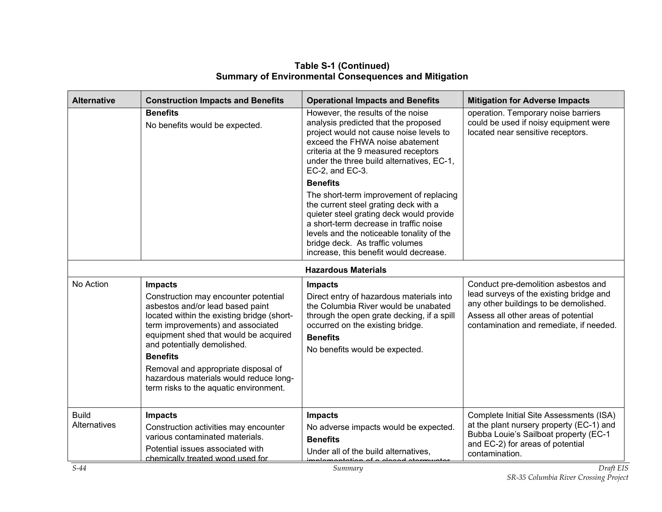| <b>Alternative</b>           | <b>Construction Impacts and Benefits</b>                                                                                                                                                                                                                                                                                                                                                            | <b>Operational Impacts and Benefits</b>                                                                                                                                                                                                                         | <b>Mitigation for Adverse Impacts</b>                                                                                                                                                                     |
|------------------------------|-----------------------------------------------------------------------------------------------------------------------------------------------------------------------------------------------------------------------------------------------------------------------------------------------------------------------------------------------------------------------------------------------------|-----------------------------------------------------------------------------------------------------------------------------------------------------------------------------------------------------------------------------------------------------------------|-----------------------------------------------------------------------------------------------------------------------------------------------------------------------------------------------------------|
|                              | <b>Benefits</b><br>No benefits would be expected.                                                                                                                                                                                                                                                                                                                                                   | However, the results of the noise<br>analysis predicted that the proposed<br>project would not cause noise levels to<br>exceed the FHWA noise abatement<br>criteria at the 9 measured receptors<br>under the three build alternatives, EC-1,<br>EC-2, and EC-3. | operation. Temporary noise barriers<br>could be used if noisy equipment were<br>located near sensitive receptors.                                                                                         |
|                              |                                                                                                                                                                                                                                                                                                                                                                                                     | <b>Benefits</b><br>The short-term improvement of replacing                                                                                                                                                                                                      |                                                                                                                                                                                                           |
|                              |                                                                                                                                                                                                                                                                                                                                                                                                     | the current steel grating deck with a<br>quieter steel grating deck would provide<br>a short-term decrease in traffic noise<br>levels and the noticeable tonality of the<br>bridge deck. As traffic volumes<br>increase, this benefit would decrease.           |                                                                                                                                                                                                           |
|                              |                                                                                                                                                                                                                                                                                                                                                                                                     | <b>Hazardous Materials</b>                                                                                                                                                                                                                                      |                                                                                                                                                                                                           |
| No Action                    | <b>Impacts</b><br>Construction may encounter potential<br>asbestos and/or lead based paint<br>located within the existing bridge (short-<br>term improvements) and associated<br>equipment shed that would be acquired<br>and potentially demolished.<br><b>Benefits</b><br>Removal and appropriate disposal of<br>hazardous materials would reduce long-<br>term risks to the aquatic environment. | <b>Impacts</b><br>Direct entry of hazardous materials into<br>the Columbia River would be unabated<br>through the open grate decking, if a spill<br>occurred on the existing bridge.<br><b>Benefits</b><br>No benefits would be expected.                       | Conduct pre-demolition asbestos and<br>lead surveys of the existing bridge and<br>any other buildings to be demolished.<br>Assess all other areas of potential<br>contamination and remediate, if needed. |
| <b>Build</b><br>Alternatives | <b>Impacts</b><br>Construction activities may encounter<br>various contaminated materials.<br>Potential issues associated with<br>chemically treated wood used for                                                                                                                                                                                                                                  | <b>Impacts</b><br>No adverse impacts would be expected.<br><b>Benefits</b><br>Under all of the build alternatives,<br>mplamentation of a glocad atomywater                                                                                                      | Complete Initial Site Assessments (ISA)<br>at the plant nursery property (EC-1) and<br>Bubba Louie's Sailboat property (EC-1<br>and EC-2) for areas of potential<br>contamination.                        |